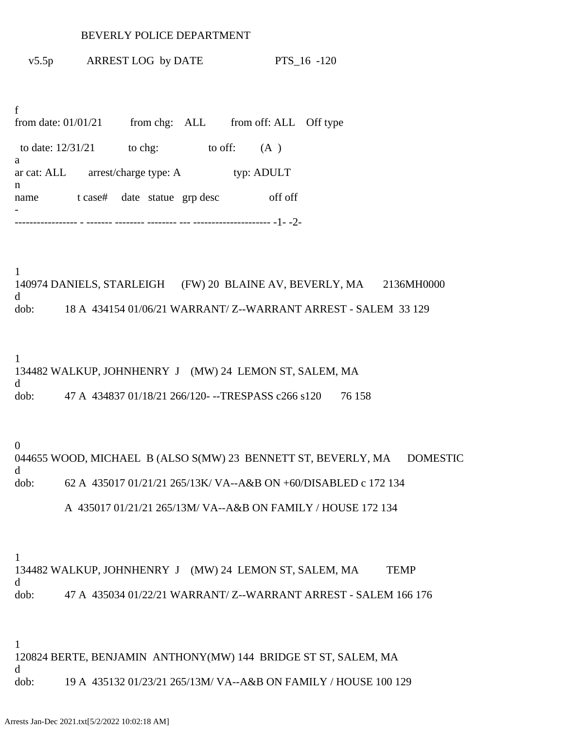#### BEVERLY POLICE DEPARTMENT

v5.5p ARREST LOG by DATE PTS\_16 -120

f from date: 01/01/21 from chg: ALL from off: ALL Off type to date:  $12/31/21$  to chg: to off: (A) a ar cat: ALL arrest/charge type: A typ: ADULT n name t case# date statue grp desc off off - ----------------- - ------- -------- -------- --- --------------------- -1- -2-

1 140974 DANIELS, STARLEIGH (FW) 20 BLAINE AV, BEVERLY, MA 2136MH0000 d dob: 18 A 434154 01/06/21 WARRANT/ Z--WARRANT ARREST - SALEM 33 129

1 134482 WALKUP, JOHNHENRY J (MW) 24 LEMON ST, SALEM, MA d dob: 47 A 434837 01/18/21 266/120- --TRESPASS c266 s120 76 158

0 044655 WOOD, MICHAEL B (ALSO S(MW) 23 BENNETT ST, BEVERLY, MA DOMESTIC d dob: 62 A 435017 01/21/21 265/13K/ VA--A&B ON +60/DISABLED c 172 134

A 435017 01/21/21 265/13M/ VA--A&B ON FAMILY / HOUSE 172 134

1

134482 WALKUP, JOHNHENRY J (MW) 24 LEMON ST, SALEM, MA TEMP d dob: 47 A 435034 01/22/21 WARRANT/ Z--WARRANT ARREST - SALEM 166 176

1 120824 BERTE, BENJAMIN ANTHONY(MW) 144 BRIDGE ST ST, SALEM, MA d dob: 19 A 435132 01/23/21 265/13M/ VA--A&B ON FAMILY / HOUSE 100 129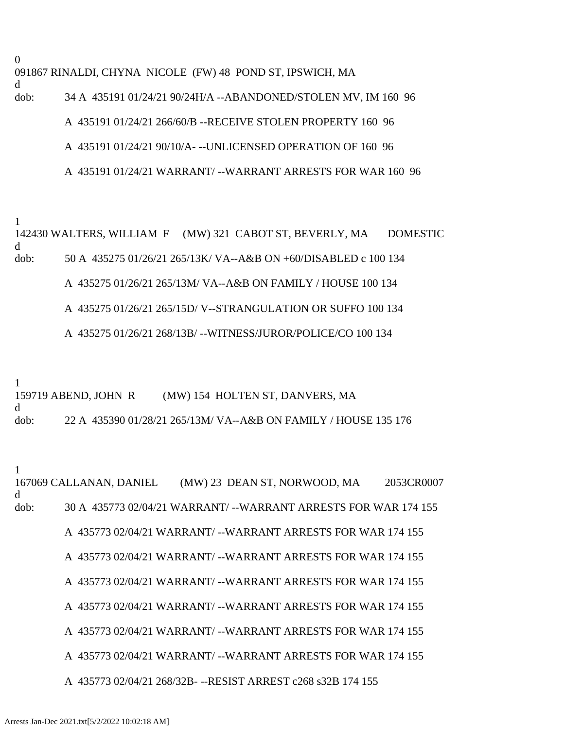0 091867 RINALDI, CHYNA NICOLE (FW) 48 POND ST, IPSWICH, MA d

# dob: 34 A 435191 01/24/21 90/24H/A --ABANDONED/STOLEN MV, IM 160 96 A 435191 01/24/21 266/60/B --RECEIVE STOLEN PROPERTY 160 96

## A 435191 01/24/21 90/10/A- --UNLICENSED OPERATION OF 160 96

# A 435191 01/24/21 WARRANT/ --WARRANT ARRESTS FOR WAR 160 96

1

142430 WALTERS, WILLIAM F (MW) 321 CABOT ST, BEVERLY, MA DOMESTIC d dob: 50 A 435275 01/26/21 265/13K/ VA--A&B ON +60/DISABLED c 100 134 A 435275 01/26/21 265/13M/ VA--A&B ON FAMILY / HOUSE 100 134

A 435275 01/26/21 265/15D/ V--STRANGULATION OR SUFFO 100 134

# A 435275 01/26/21 268/13B/ --WITNESS/JUROR/POLICE/CO 100 134

1

159719 ABEND, JOHN R (MW) 154 HOLTEN ST, DANVERS, MA d dob: 22 A 435390 01/28/21 265/13M/ VA--A&B ON FAMILY / HOUSE 135 176

1

167069 CALLANAN, DANIEL (MW) 23 DEAN ST, NORWOOD, MA 2053CR0007 d dob: 30 A 435773 02/04/21 WARRANT/ --WARRANT ARRESTS FOR WAR 174 155 A 435773 02/04/21 WARRANT/ --WARRANT ARRESTS FOR WAR 174 155 A 435773 02/04/21 WARRANT/ --WARRANT ARRESTS FOR WAR 174 155 A 435773 02/04/21 WARRANT/ --WARRANT ARRESTS FOR WAR 174 155 A 435773 02/04/21 WARRANT/ --WARRANT ARRESTS FOR WAR 174 155 A 435773 02/04/21 WARRANT/ --WARRANT ARRESTS FOR WAR 174 155 A 435773 02/04/21 WARRANT/ --WARRANT ARRESTS FOR WAR 174 155 A 435773 02/04/21 268/32B- --RESIST ARREST c268 s32B 174 155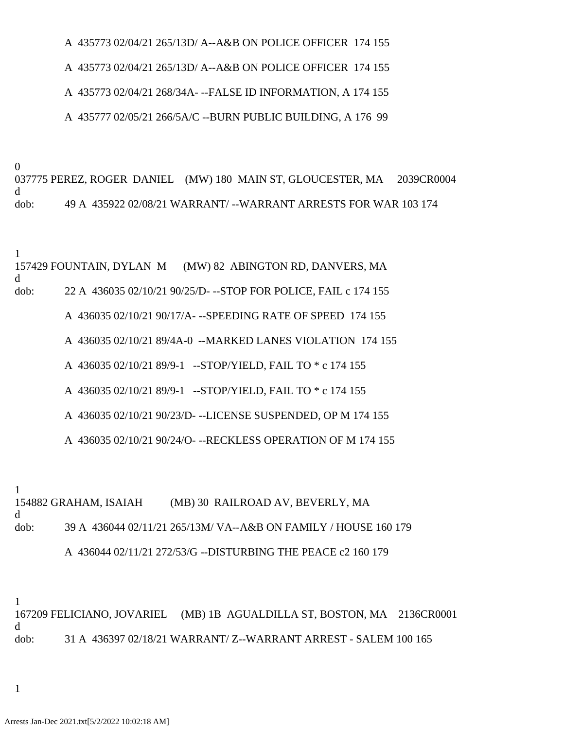A 435773 02/04/21 265/13D/ A--A&B ON POLICE OFFICER 174 155

A 435773 02/04/21 265/13D/ A--A&B ON POLICE OFFICER 174 155

A 435773 02/04/21 268/34A- --FALSE ID INFORMATION, A 174 155

A 435777 02/05/21 266/5A/C --BURN PUBLIC BUILDING, A 176 99

0

037775 PEREZ, ROGER DANIEL (MW) 180 MAIN ST, GLOUCESTER, MA 2039CR0004 d dob: 49 A 435922 02/08/21 WARRANT/ --WARRANT ARRESTS FOR WAR 103 174

1

157429 FOUNTAIN, DYLAN M (MW) 82 ABINGTON RD, DANVERS, MA d

dob: 22 A 436035 02/10/21 90/25/D- --STOP FOR POLICE, FAIL c 174 155

A 436035 02/10/21 90/17/A- --SPEEDING RATE OF SPEED 174 155

A 436035 02/10/21 89/4A-0 --MARKED LANES VIOLATION 174 155

A 436035 02/10/21 89/9-1 --STOP/YIELD, FAIL TO \* c 174 155

A 436035 02/10/21 89/9-1 --STOP/YIELD, FAIL TO \* c 174 155

A 436035 02/10/21 90/23/D- --LICENSE SUSPENDED, OP M 174 155

A 436035 02/10/21 90/24/O- --RECKLESS OPERATION OF M 174 155

1

154882 GRAHAM, ISAIAH (MB) 30 RAILROAD AV, BEVERLY, MA d dob: 39 A 436044 02/11/21 265/13M/ VA--A&B ON FAMILY / HOUSE 160 179

A 436044 02/11/21 272/53/G --DISTURBING THE PEACE c2 160 179

1 167209 FELICIANO, JOVARIEL (MB) 1B AGUALDILLA ST, BOSTON, MA 2136CR0001 d dob: 31 A 436397 02/18/21 WARRANT/ Z--WARRANT ARREST - SALEM 100 165

1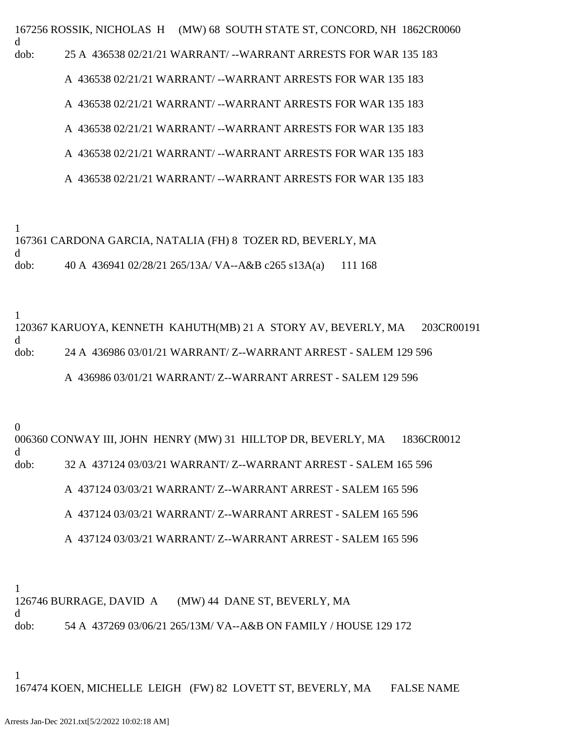167256 ROSSIK, NICHOLAS H (MW) 68 SOUTH STATE ST, CONCORD, NH 1862CR0060 d dob: 25 A 436538 02/21/21 WARRANT/ --WARRANT ARRESTS FOR WAR 135 183

A 436538 02/21/21 WARRANT/ --WARRANT ARRESTS FOR WAR 135 183

A 436538 02/21/21 WARRANT/ --WARRANT ARRESTS FOR WAR 135 183

A 436538 02/21/21 WARRANT/ --WARRANT ARRESTS FOR WAR 135 183

A 436538 02/21/21 WARRANT/ --WARRANT ARRESTS FOR WAR 135 183

A 436538 02/21/21 WARRANT/ --WARRANT ARRESTS FOR WAR 135 183

1

d

167361 CARDONA GARCIA, NATALIA (FH) 8 TOZER RD, BEVERLY, MA

dob: 40 A 436941 02/28/21 265/13A/ VA--A&B c265 s13A(a) 111 168

1

120367 KARUOYA, KENNETH KAHUTH(MB) 21 A STORY AV, BEVERLY, MA 203CR00191 d dob: 24 A 436986 03/01/21 WARRANT/ Z--WARRANT ARREST - SALEM 129 596 A 436986 03/01/21 WARRANT/ Z--WARRANT ARREST - SALEM 129 596

0

006360 CONWAY III, JOHN HENRY (MW) 31 HILLTOP DR, BEVERLY, MA 1836CR0012 d dob: 32 A 437124 03/03/21 WARRANT/ Z--WARRANT ARREST - SALEM 165 596 A 437124 03/03/21 WARRANT/ Z--WARRANT ARREST - SALEM 165 596 A 437124 03/03/21 WARRANT/ Z--WARRANT ARREST - SALEM 165 596

A 437124 03/03/21 WARRANT/ Z--WARRANT ARREST - SALEM 165 596

1 126746 BURRAGE, DAVID A (MW) 44 DANE ST, BEVERLY, MA d dob: 54 A 437269 03/06/21 265/13M/ VA--A&B ON FAMILY / HOUSE 129 172

1

167474 KOEN, MICHELLE LEIGH (FW) 82 LOVETT ST, BEVERLY, MA FALSE NAME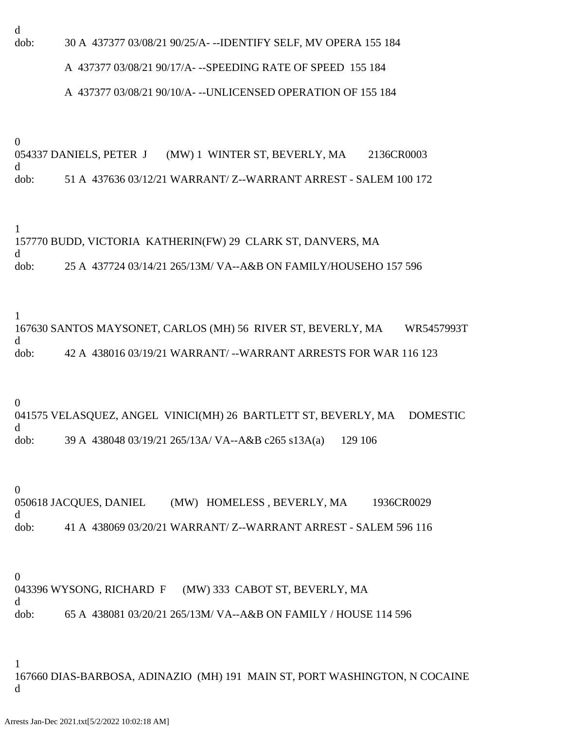d

dob: 30 A 437377 03/08/21 90/25/A- --IDENTIFY SELF, MV OPERA 155 184

#### A 437377 03/08/21 90/17/A- --SPEEDING RATE OF SPEED 155 184

#### A 437377 03/08/21 90/10/A- --UNLICENSED OPERATION OF 155 184

0

054337 DANIELS, PETER J (MW) 1 WINTER ST, BEVERLY, MA 2136CR0003 d dob: 51 A 437636 03/12/21 WARRANT/ Z--WARRANT ARREST - SALEM 100 172

1

157770 BUDD, VICTORIA KATHERIN(FW) 29 CLARK ST, DANVERS, MA d

dob: 25 A 437724 03/14/21 265/13M/ VA--A&B ON FAMILY/HOUSEHO 157 596

1

167630 SANTOS MAYSONET, CARLOS (MH) 56 RIVER ST, BEVERLY, MA WR5457993T d dob: 42 A 438016 03/19/21 WARRANT/ --WARRANT ARRESTS FOR WAR 116 123

0

041575 VELASQUEZ, ANGEL VINICI(MH) 26 BARTLETT ST, BEVERLY, MA DOMESTIC d dob: 39 A 438048 03/19/21 265/13A/ VA--A&B c265 s13A(a) 129 106

0 050618 JACQUES, DANIEL (MW) HOMELESS, BEVERLY, MA 1936CR0029 d dob: 41 A 438069 03/20/21 WARRANT/ Z--WARRANT ARREST - SALEM 596 116

0 043396 WYSONG, RICHARD F (MW) 333 CABOT ST, BEVERLY, MA d dob: 65 A 438081 03/20/21 265/13M/ VA--A&B ON FAMILY / HOUSE 114 596

1

167660 DIAS-BARBOSA, ADINAZIO (MH) 191 MAIN ST, PORT WASHINGTON, N COCAINE d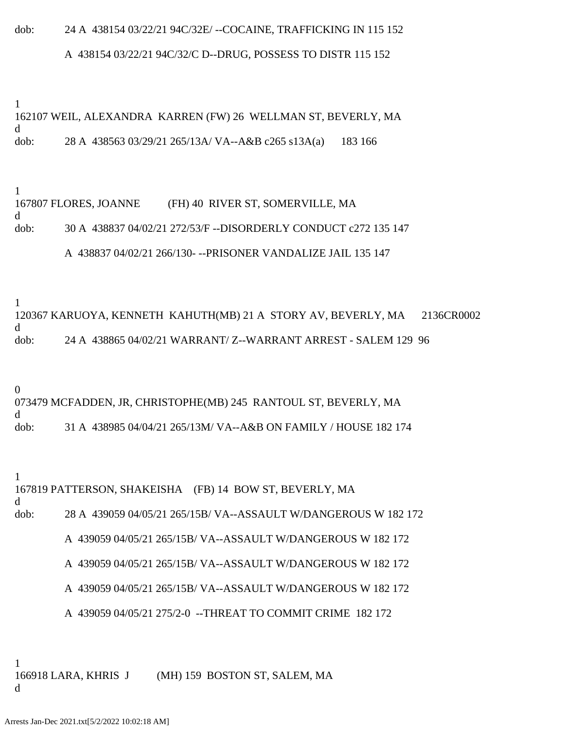# dob: 24 A 438154 03/22/21 94C/32E/ --COCAINE, TRAFFICKING IN 115 152

## A 438154 03/22/21 94C/32/C D--DRUG, POSSESS TO DISTR 115 152

1 162107 WEIL, ALEXANDRA KARREN (FW) 26 WELLMAN ST, BEVERLY, MA d dob: 28 A 438563 03/29/21 265/13A/ VA--A&B c265 s13A(a) 183 166

1 167807 FLORES, JOANNE (FH) 40 RIVER ST, SOMERVILLE, MA d dob: 30 A 438837 04/02/21 272/53/F --DISORDERLY CONDUCT c272 135 147 A 438837 04/02/21 266/130- --PRISONER VANDALIZE JAIL 135 147

1 120367 KARUOYA, KENNETH KAHUTH(MB) 21 A STORY AV, BEVERLY, MA 2136CR0002 d dob: 24 A 438865 04/02/21 WARRANT/ Z--WARRANT ARREST - SALEM 129 96

0 073479 MCFADDEN, JR, CHRISTOPHE(MB) 245 RANTOUL ST, BEVERLY, MA d dob: 31 A 438985 04/04/21 265/13M/ VA--A&B ON FAMILY / HOUSE 182 174

1 167819 PATTERSON, SHAKEISHA (FB) 14 BOW ST, BEVERLY, MA d dob: 28 A 439059 04/05/21 265/15B/ VA--ASSAULT W/DANGEROUS W 182 172 A 439059 04/05/21 265/15B/ VA--ASSAULT W/DANGEROUS W 182 172 A 439059 04/05/21 265/15B/ VA--ASSAULT W/DANGEROUS W 182 172 A 439059 04/05/21 265/15B/ VA--ASSAULT W/DANGEROUS W 182 172 A 439059 04/05/21 275/2-0 --THREAT TO COMMIT CRIME 182 172

1 166918 LARA, KHRIS J (MH) 159 BOSTON ST, SALEM, MA d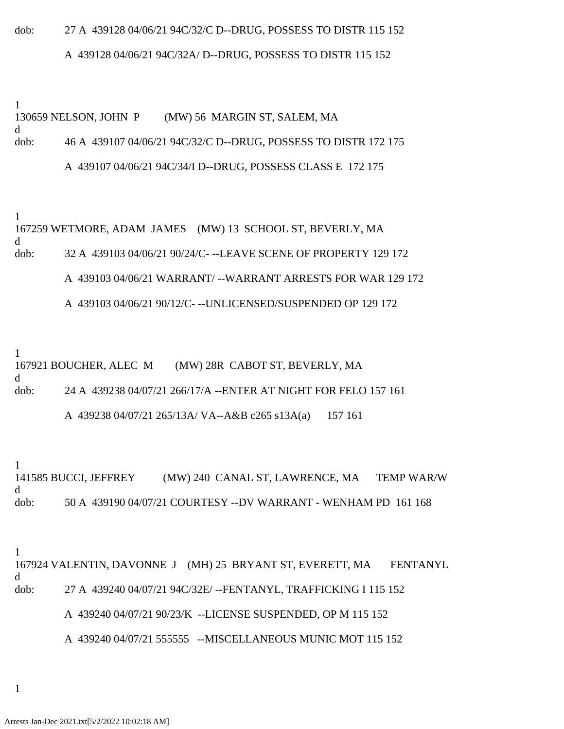# dob: 27 A 439128 04/06/21 94C/32/C D--DRUG, POSSESS TO DISTR 115 152 A 439128 04/06/21 94C/32A/ D--DRUG, POSSESS TO DISTR 115 152

1 130659 NELSON, JOHN P (MW) 56 MARGIN ST, SALEM, MA d dob: 46 A 439107 04/06/21 94C/32/C D--DRUG, POSSESS TO DISTR 172 175

1 167259 WETMORE, ADAM JAMES (MW) 13 SCHOOL ST, BEVERLY, MA d dob: 32 A 439103 04/06/21 90/24/C- --LEAVE SCENE OF PROPERTY 129 172 A 439103 04/06/21 WARRANT/ --WARRANT ARRESTS FOR WAR 129 172

A 439103 04/06/21 90/12/C- --UNLICENSED/SUSPENDED OP 129 172

A 439107 04/06/21 94C/34/I D--DRUG, POSSESS CLASS E 172 175

1 167921 BOUCHER, ALEC M (MW) 28R CABOT ST, BEVERLY, MA d dob: 24 A 439238 04/07/21 266/17/A --ENTER AT NIGHT FOR FELO 157 161

A 439238 04/07/21 265/13A/ VA--A&B c265 s13A(a) 157 161

1 141585 BUCCI, JEFFREY (MW) 240 CANAL ST, LAWRENCE, MA TEMP WAR/W d dob: 50 A 439190 04/07/21 COURTESY --DV WARRANT - WENHAM PD 161 168

1

167924 VALENTIN, DAVONNE J (MH) 25 BRYANT ST, EVERETT, MA FENTANYL d dob: 27 A 439240 04/07/21 94C/32E/ --FENTANYL, TRAFFICKING I 115 152 A 439240 04/07/21 90/23/K --LICENSE SUSPENDED, OP M 115 152

A 439240 04/07/21 555555 --MISCELLANEOUS MUNIC MOT 115 152

1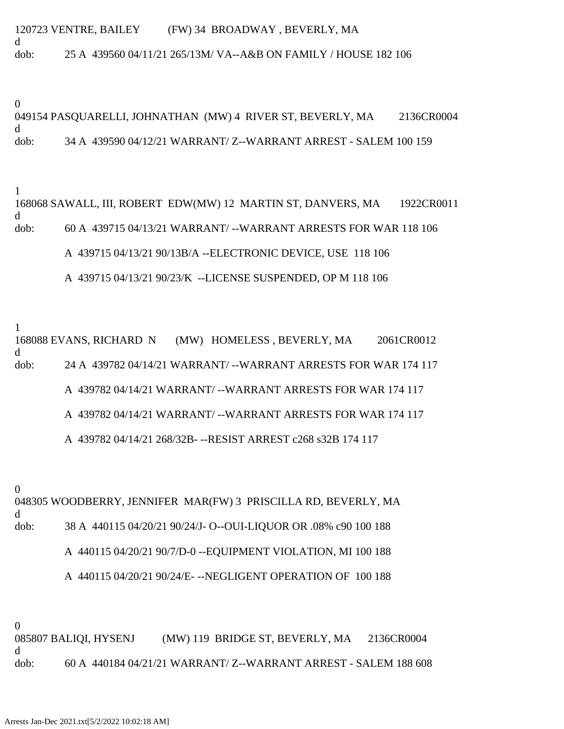120723 VENTRE, BAILEY (FW) 34 BROADWAY , BEVERLY, MA d dob: 25 A 439560 04/11/21 265/13M/ VA--A&B ON FAMILY / HOUSE 182 106

0

049154 PASQUARELLI, JOHNATHAN (MW) 4 RIVER ST, BEVERLY, MA 2136CR0004 d dob: 34 A 439590 04/12/21 WARRANT/ Z--WARRANT ARREST - SALEM 100 159

1

168068 SAWALL, III, ROBERT EDW(MW) 12 MARTIN ST, DANVERS, MA 1922CR0011 d dob: 60 A 439715 04/13/21 WARRANT/ --WARRANT ARRESTS FOR WAR 118 106 A 439715 04/13/21 90/13B/A --ELECTRONIC DEVICE, USE 118 106 A 439715 04/13/21 90/23/K --LICENSE SUSPENDED, OP M 118 106

1 168088 EVANS, RICHARD N (MW) HOMELESS , BEVERLY, MA 2061CR0012 d dob: 24 A 439782 04/14/21 WARRANT/ --WARRANT ARRESTS FOR WAR 174 117 A 439782 04/14/21 WARRANT/ --WARRANT ARRESTS FOR WAR 174 117 A 439782 04/14/21 WARRANT/ --WARRANT ARRESTS FOR WAR 174 117 A 439782 04/14/21 268/32B- --RESIST ARREST c268 s32B 174 117

0

048305 WOODBERRY, JENNIFER MAR(FW) 3 PRISCILLA RD, BEVERLY, MA d dob: 38 A 440115 04/20/21 90/24/J- O--OUI-LIQUOR OR .08% c90 100 188 A 440115 04/20/21 90/7/D-0 --EQUIPMENT VIOLATION, MI 100 188 A 440115 04/20/21 90/24/E- --NEGLIGENT OPERATION OF 100 188

0

085807 BALIQI, HYSENJ (MW) 119 BRIDGE ST, BEVERLY, MA 2136CR0004 d dob: 60 A 440184 04/21/21 WARRANT/ Z--WARRANT ARREST - SALEM 188 608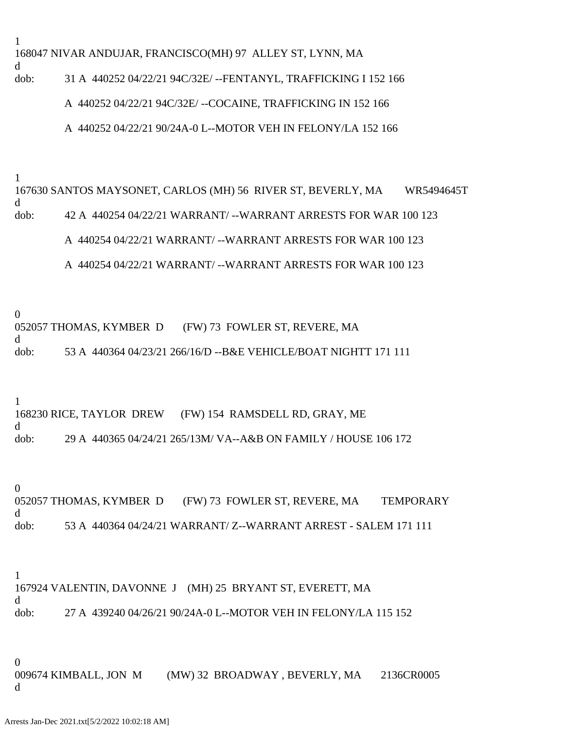168047 NIVAR ANDUJAR, FRANCISCO(MH) 97 ALLEY ST, LYNN, MA

dob: 31 A 440252 04/22/21 94C/32E/ --FENTANYL, TRAFFICKING I 152 166

A 440252 04/22/21 94C/32E/ --COCAINE, TRAFFICKING IN 152 166

A 440252 04/22/21 90/24A-0 L--MOTOR VEH IN FELONY/LA 152 166

1

1

d

167630 SANTOS MAYSONET, CARLOS (MH) 56 RIVER ST, BEVERLY, MA WR5494645T d dob: 42 A 440254 04/22/21 WARRANT/ --WARRANT ARRESTS FOR WAR 100 123 A 440254 04/22/21 WARRANT/ --WARRANT ARRESTS FOR WAR 100 123

A 440254 04/22/21 WARRANT/ --WARRANT ARRESTS FOR WAR 100 123

0

d

052057 THOMAS, KYMBER D (FW) 73 FOWLER ST, REVERE, MA

dob: 53 A 440364 04/23/21 266/16/D --B&E VEHICLE/BOAT NIGHTT 171 111

1

168230 RICE, TAYLOR DREW (FW) 154 RAMSDELL RD, GRAY, ME d dob: 29 A 440365 04/24/21 265/13M/ VA--A&B ON FAMILY / HOUSE 106 172

0 052057 THOMAS, KYMBER D (FW) 73 FOWLER ST, REVERE, MA TEMPORARY d dob: 53 A 440364 04/24/21 WARRANT/ Z--WARRANT ARREST - SALEM 171 111

1 167924 VALENTIN, DAVONNE J (MH) 25 BRYANT ST, EVERETT, MA d dob: 27 A 439240 04/26/21 90/24A-0 L--MOTOR VEH IN FELONY/LA 115 152

0

009674 KIMBALL, JON M (MW) 32 BROADWAY , BEVERLY, MA 2136CR0005 d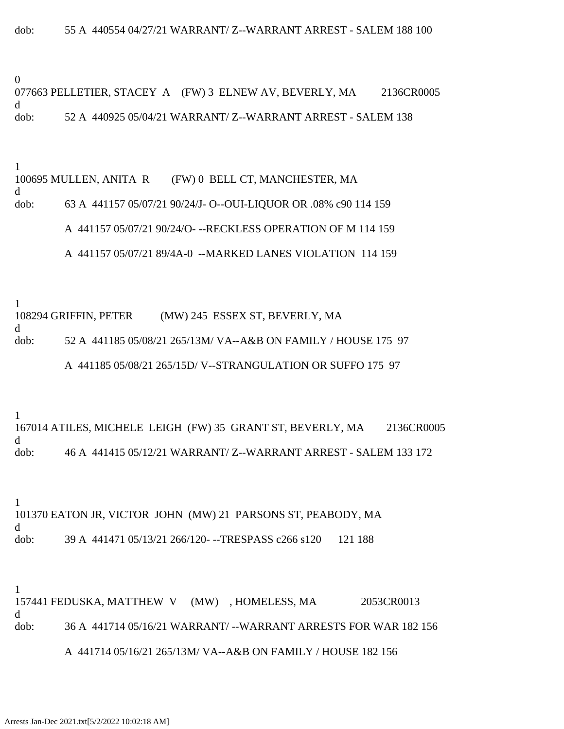0

077663 PELLETIER, STACEY A (FW) 3 ELNEW AV, BEVERLY, MA 2136CR0005 d dob: 52 A 440925 05/04/21 WARRANT/ Z--WARRANT ARREST - SALEM 138

1

100695 MULLEN, ANITA R (FW) 0 BELL CT, MANCHESTER, MA

d

dob: 63 A 441157 05/07/21 90/24/J- O--OUI-LIQUOR OR .08% c90 114 159

A 441157 05/07/21 90/24/O- --RECKLESS OPERATION OF M 114 159

A 441157 05/07/21 89/4A-0 --MARKED LANES VIOLATION 114 159

1

d

108294 GRIFFIN, PETER (MW) 245 ESSEX ST, BEVERLY, MA

dob: 52 A 441185 05/08/21 265/13M/ VA--A&B ON FAMILY / HOUSE 175 97

A 441185 05/08/21 265/15D/ V--STRANGULATION OR SUFFO 175 97

1

167014 ATILES, MICHELE LEIGH (FW) 35 GRANT ST, BEVERLY, MA 2136CR0005 d dob: 46 A 441415 05/12/21 WARRANT/ Z--WARRANT ARREST - SALEM 133 172

1 101370 EATON JR, VICTOR JOHN (MW) 21 PARSONS ST, PEABODY, MA d dob: 39 A 441471 05/13/21 266/120--TRESPASS c266 s120 121 188

1 157441 FEDUSKA, MATTHEW V (MW) , HOMELESS, MA 2053CR0013 d dob: 36 A 441714 05/16/21 WARRANT/ --WARRANT ARRESTS FOR WAR 182 156

A 441714 05/16/21 265/13M/ VA--A&B ON FAMILY / HOUSE 182 156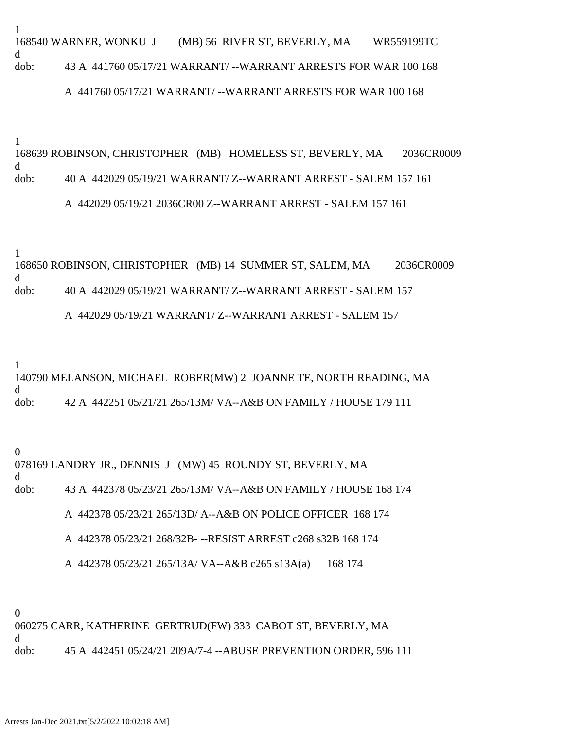1 168540 WARNER, WONKU J (MB) 56 RIVER ST, BEVERLY, MA WR559199TC d dob: 43 A 441760 05/17/21 WARRANT/ --WARRANT ARRESTS FOR WAR 100 168

### A 441760 05/17/21 WARRANT/ --WARRANT ARRESTS FOR WAR 100 168

1

168639 ROBINSON, CHRISTOPHER (MB) HOMELESS ST, BEVERLY, MA 2036CR0009 d dob: 40 A 442029 05/19/21 WARRANT/ Z--WARRANT ARREST - SALEM 157 161

## A 442029 05/19/21 2036CR00 Z--WARRANT ARREST - SALEM 157 161

1

168650 ROBINSON, CHRISTOPHER (MB) 14 SUMMER ST, SALEM, MA 2036CR0009 d dob: 40 A 442029 05/19/21 WARRANT/ Z--WARRANT ARREST - SALEM 157 A 442029 05/19/21 WARRANT/ Z--WARRANT ARREST - SALEM 157

1 140790 MELANSON, MICHAEL ROBER(MW) 2 JOANNE TE, NORTH READING, MA d dob: 42 A 442251 05/21/21 265/13M/ VA--A&B ON FAMILY / HOUSE 179 111

0 078169 LANDRY JR., DENNIS J (MW) 45 ROUNDY ST, BEVERLY, MA d dob: 43 A 442378 05/23/21 265/13M/ VA--A&B ON FAMILY / HOUSE 168 174 A 442378 05/23/21 265/13D/ A--A&B ON POLICE OFFICER 168 174

A 442378 05/23/21 268/32B- --RESIST ARREST c268 s32B 168 174

A 442378 05/23/21 265/13A/ VA--A&B c265 s13A(a) 168 174

0

060275 CARR, KATHERINE GERTRUD(FW) 333 CABOT ST, BEVERLY, MA d dob: 45 A 442451 05/24/21 209A/7-4 --ABUSE PREVENTION ORDER, 596 111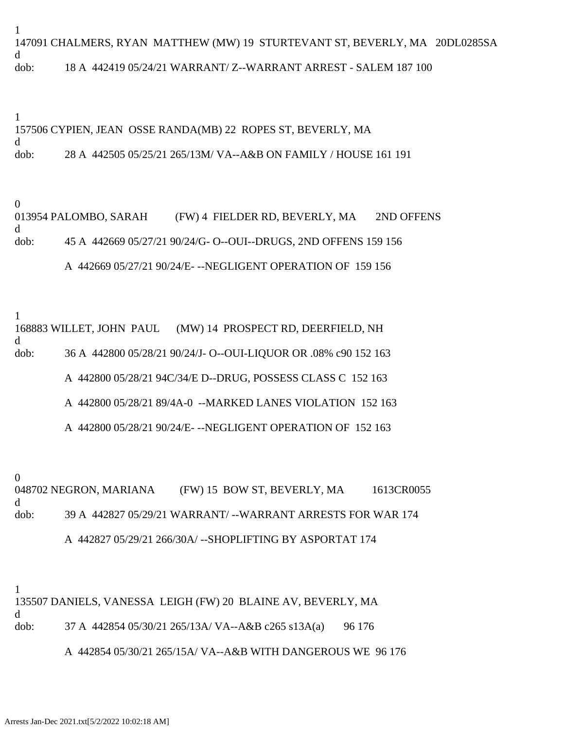1 147091 CHALMERS, RYAN MATTHEW (MW) 19 STURTEVANT ST, BEVERLY, MA 20DL0285SA d dob: 18 A 442419 05/24/21 WARRANT/ Z--WARRANT ARREST - SALEM 187 100

1 157506 CYPIEN, JEAN OSSE RANDA(MB) 22 ROPES ST, BEVERLY, MA d dob: 28 A 442505 05/25/21 265/13M/ VA--A&B ON FAMILY / HOUSE 161 191

 $\theta$ 

013954 PALOMBO, SARAH (FW) 4 FIELDER RD, BEVERLY, MA 2ND OFFENS d dob: 45 A 442669 05/27/21 90/24/G- O--OUI--DRUGS, 2ND OFFENS 159 156

A 442669 05/27/21 90/24/E- --NEGLIGENT OPERATION OF 159 156

1

168883 WILLET, JOHN PAUL (MW) 14 PROSPECT RD, DEERFIELD, NH

d

dob: 36 A 442800 05/28/21 90/24/J- O--OUI-LIQUOR OR .08% c90 152 163

A 442800 05/28/21 94C/34/E D--DRUG, POSSESS CLASS C 152 163

A 442800 05/28/21 89/4A-0 --MARKED LANES VIOLATION 152 163

A 442800 05/28/21 90/24/E- --NEGLIGENT OPERATION OF 152 163

0 048702 NEGRON, MARIANA (FW) 15 BOW ST, BEVERLY, MA 1613CR0055 d dob: 39 A 442827 05/29/21 WARRANT/ --WARRANT ARRESTS FOR WAR 174 A 442827 05/29/21 266/30A/ --SHOPLIFTING BY ASPORTAT 174

1 135507 DANIELS, VANESSA LEIGH (FW) 20 BLAINE AV, BEVERLY, MA d dob: 37 A 442854 05/30/21 265/13A/ VA--A&B c265 s13A(a) 96 176 A 442854 05/30/21 265/15A/ VA--A&B WITH DANGEROUS WE 96 176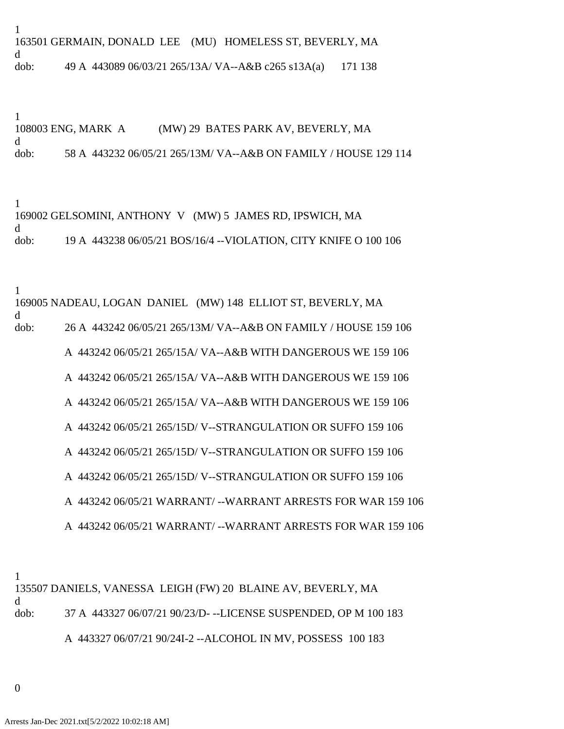1 163501 GERMAIN, DONALD LEE (MU) HOMELESS ST, BEVERLY, MA d dob: 49 A 443089 06/03/21 265/13A/ VA--A&B c265 s13A(a) 171 138

1 108003 ENG, MARK A (MW) 29 BATES PARK AV, BEVERLY, MA d dob: 58 A 443232 06/05/21 265/13M/ VA--A&B ON FAMILY / HOUSE 129 114

1 169002 GELSOMINI, ANTHONY V (MW) 5 JAMES RD, IPSWICH, MA d dob: 19 A 443238 06/05/21 BOS/16/4 --VIOLATION, CITY KNIFE O 100 106

1 169005 NADEAU, LOGAN DANIEL (MW) 148 ELLIOT ST, BEVERLY, MA d dob: 26 A 443242 06/05/21 265/13M/ VA--A&B ON FAMILY / HOUSE 159 106 A 443242 06/05/21 265/15A/ VA--A&B WITH DANGEROUS WE 159 106 A 443242 06/05/21 265/15A/ VA--A&B WITH DANGEROUS WE 159 106 A 443242 06/05/21 265/15A/ VA--A&B WITH DANGEROUS WE 159 106 A 443242 06/05/21 265/15D/ V--STRANGULATION OR SUFFO 159 106 A 443242 06/05/21 265/15D/ V--STRANGULATION OR SUFFO 159 106 A 443242 06/05/21 265/15D/ V--STRANGULATION OR SUFFO 159 106 A 443242 06/05/21 WARRANT/ --WARRANT ARRESTS FOR WAR 159 106 A 443242 06/05/21 WARRANT/ --WARRANT ARRESTS FOR WAR 159 106

1 135507 DANIELS, VANESSA LEIGH (FW) 20 BLAINE AV, BEVERLY, MA d dob: 37 A 443327 06/07/21 90/23/D- --LICENSE SUSPENDED, OP M 100 183 A 443327 06/07/21 90/24I-2 --ALCOHOL IN MV, POSSESS 100 183

0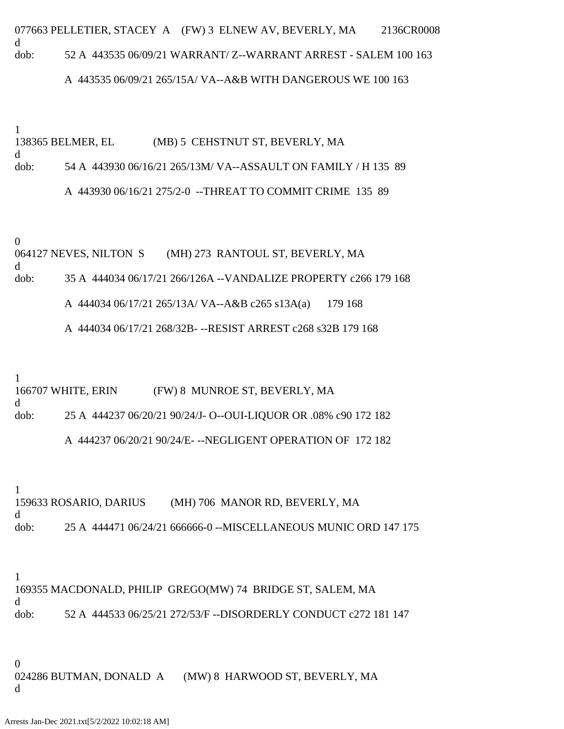077663 PELLETIER, STACEY A (FW) 3 ELNEW AV, BEVERLY, MA 2136CR0008 d dob: 52 A 443535 06/09/21 WARRANT/ Z--WARRANT ARREST - SALEM 100 163

### A 443535 06/09/21 265/15A/ VA--A&B WITH DANGEROUS WE 100 163

1

138365 BELMER, EL (MB) 5 CEHSTNUT ST, BEVERLY, MA d dob: 54 A 443930 06/16/21 265/13M/ VA--ASSAULT ON FAMILY / H 135 89 A 443930 06/16/21 275/2-0 --THREAT TO COMMIT CRIME 135 89

0

064127 NEVES, NILTON S (MH) 273 RANTOUL ST, BEVERLY, MA d dob: 35 A 444034 06/17/21 266/126A --VANDALIZE PROPERTY c266 179 168

A 444034 06/17/21 265/13A/ VA--A&B c265 s13A(a) 179 168

A 444034 06/17/21 268/32B- --RESIST ARREST c268 s32B 179 168

1

166707 WHITE, ERIN (FW) 8 MUNROE ST, BEVERLY, MA

d

dob: 25 A 444237 06/20/21 90/24/J- O--OUI-LIQUOR OR .08% c90 172 182

A 444237 06/20/21 90/24/E- --NEGLIGENT OPERATION OF 172 182

1

159633 ROSARIO, DARIUS (MH) 706 MANOR RD, BEVERLY, MA d dob: 25 A 444471 06/24/21 666666-0 --MISCELLANEOUS MUNIC ORD 147 175

1

169355 MACDONALD, PHILIP GREGO(MW) 74 BRIDGE ST, SALEM, MA d dob: 52 A 444533 06/25/21 272/53/F --DISORDERLY CONDUCT c272 181 147

0 024286 BUTMAN, DONALD A (MW) 8 HARWOOD ST, BEVERLY, MA d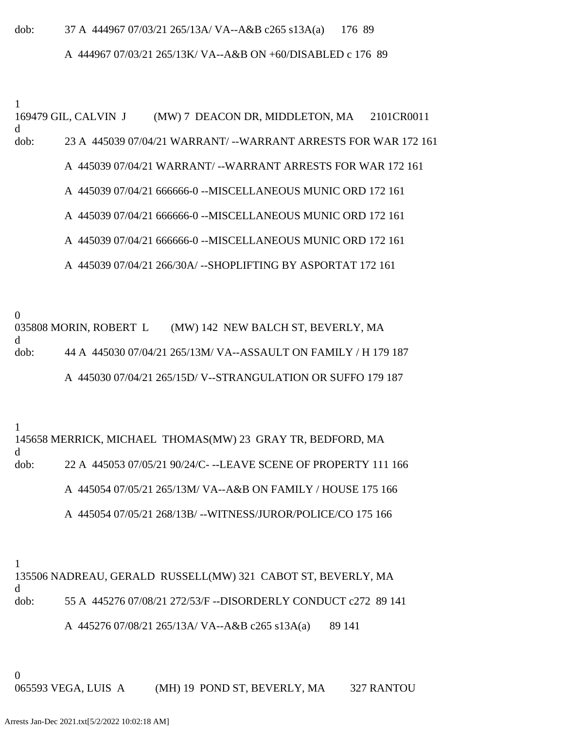#### dob: 37 A 444967 07/03/21 265/13A/ VA--A&B c265 s13A(a) 176 89

#### A 444967 07/03/21 265/13K/ VA--A&B ON +60/DISABLED c 176 89

1 169479 GIL, CALVIN J (MW) 7 DEACON DR, MIDDLETON, MA 2101CR0011 d dob: 23 A 445039 07/04/21 WARRANT/ --WARRANT ARRESTS FOR WAR 172 161 A 445039 07/04/21 WARRANT/ --WARRANT ARRESTS FOR WAR 172 161 A 445039 07/04/21 666666-0 --MISCELLANEOUS MUNIC ORD 172 161

A 445039 07/04/21 666666-0 --MISCELLANEOUS MUNIC ORD 172 161

A 445039 07/04/21 666666-0 --MISCELLANEOUS MUNIC ORD 172 161

A 445039 07/04/21 266/30A/ --SHOPLIFTING BY ASPORTAT 172 161

0

035808 MORIN, ROBERT L (MW) 142 NEW BALCH ST, BEVERLY, MA d dob: 44 A 445030 07/04/21 265/13M/ VA--ASSAULT ON FAMILY / H 179 187 A 445030 07/04/21 265/15D/ V--STRANGULATION OR SUFFO 179 187

1

145658 MERRICK, MICHAEL THOMAS(MW) 23 GRAY TR, BEDFORD, MA d dob: 22 A 445053 07/05/21 90/24/C- --LEAVE SCENE OF PROPERTY 111 166 A 445054 07/05/21 265/13M/ VA--A&B ON FAMILY / HOUSE 175 166 A 445054 07/05/21 268/13B/ --WITNESS/JUROR/POLICE/CO 175 166

1

135506 NADREAU, GERALD RUSSELL(MW) 321 CABOT ST, BEVERLY, MA d dob: 55 A 445276 07/08/21 272/53/F --DISORDERLY CONDUCT c272 89 141

A 445276 07/08/21 265/13A/ VA--A&B c265 s13A(a) 89 141

0

065593 VEGA, LUIS A (MH) 19 POND ST, BEVERLY, MA 327 RANTOU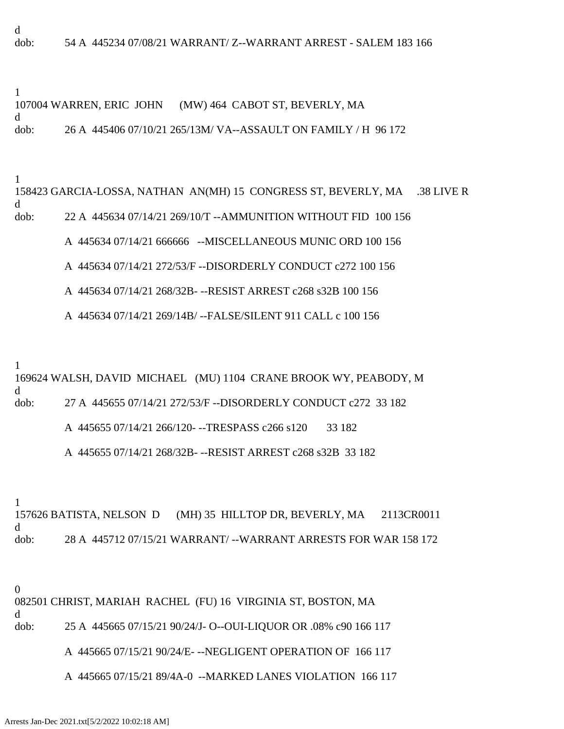d dob: 54 A 445234 07/08/21 WARRANT/ Z--WARRANT ARREST - SALEM 183 166

1 107004 WARREN, ERIC JOHN (MW) 464 CABOT ST, BEVERLY, MA d dob: 26 A 445406 07/10/21 265/13M/ VA--ASSAULT ON FAMILY / H 96 172

# 1 158423 GARCIA-LOSSA, NATHAN AN(MH) 15 CONGRESS ST, BEVERLY, MA .38 LIVE R d dob: 22 A 445634 07/14/21 269/10/T --AMMUNITION WITHOUT FID 100 156 A 445634 07/14/21 666666 --MISCELLANEOUS MUNIC ORD 100 156

A 445634 07/14/21 272/53/F --DISORDERLY CONDUCT c272 100 156

A 445634 07/14/21 268/32B- --RESIST ARREST c268 s32B 100 156

A 445634 07/14/21 269/14B/ --FALSE/SILENT 911 CALL c 100 156

1

169624 WALSH, DAVID MICHAEL (MU) 1104 CRANE BROOK WY, PEABODY, M d dob: 27 A 445655 07/14/21 272/53/F --DISORDERLY CONDUCT c272 33 182

A 445655 07/14/21 266/120- --TRESPASS c266 s120 33 182

A 445655 07/14/21 268/32B- --RESIST ARREST c268 s32B 33 182

1

157626 BATISTA, NELSON D (MH) 35 HILLTOP DR, BEVERLY, MA 2113CR0011 d dob: 28 A 445712 07/15/21 WARRANT/ --WARRANT ARRESTS FOR WAR 158 172

0

d

082501 CHRIST, MARIAH RACHEL (FU) 16 VIRGINIA ST, BOSTON, MA

dob: 25 A 445665 07/15/21 90/24/J- O--OUI-LIQUOR OR .08% c90 166 117

## A 445665 07/15/21 90/24/E- --NEGLIGENT OPERATION OF 166 117

A 445665 07/15/21 89/4A-0 --MARKED LANES VIOLATION 166 117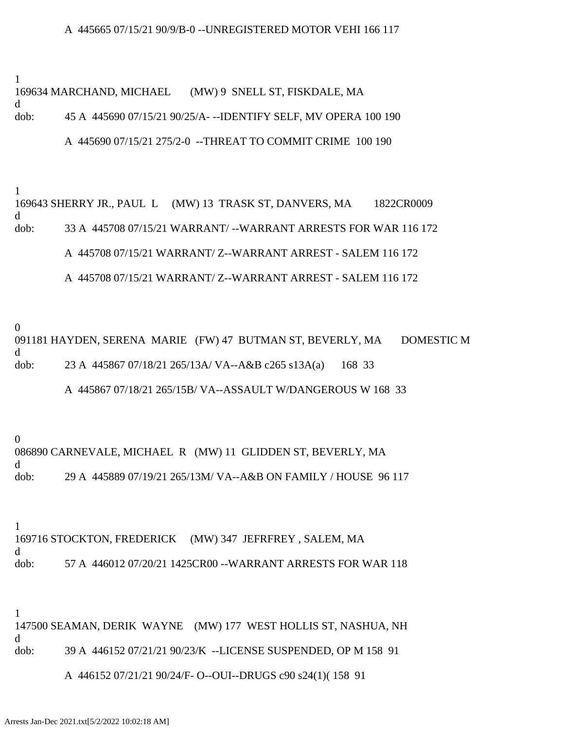#### A 445665 07/15/21 90/9/B-0 --UNREGISTERED MOTOR VEHI 166 117

1

d

169634 MARCHAND, MICHAEL (MW) 9 SNELL ST, FISKDALE, MA

dob: 45 A 445690 07/15/21 90/25/A- --IDENTIFY SELF, MV OPERA 100 190

#### A 445690 07/15/21 275/2-0 --THREAT TO COMMIT CRIME 100 190

1

169643 SHERRY JR., PAUL L (MW) 13 TRASK ST, DANVERS, MA 1822CR0009 d dob: 33 A 445708 07/15/21 WARRANT/ --WARRANT ARRESTS FOR WAR 116 172 A 445708 07/15/21 WARRANT/ Z--WARRANT ARREST - SALEM 116 172 A 445708 07/15/21 WARRANT/ Z--WARRANT ARREST - SALEM 116 172

0 091181 HAYDEN, SERENA MARIE (FW) 47 BUTMAN ST, BEVERLY, MA DOMESTIC M d dob: 23 A 445867 07/18/21 265/13A/ VA--A&B c265 s13A(a) 168 33

A 445867 07/18/21 265/15B/ VA--ASSAULT W/DANGEROUS W 168 33

0

086890 CARNEVALE, MICHAEL R (MW) 11 GLIDDEN ST, BEVERLY, MA d dob: 29 A 445889 07/19/21 265/13M/ VA--A&B ON FAMILY / HOUSE 96 117

1 169716 STOCKTON, FREDERICK (MW) 347 JEFRFREY , SALEM, MA d dob: 57 A 446012 07/20/21 1425CR00 --WARRANT ARRESTS FOR WAR 118

1

147500 SEAMAN, DERIK WAYNE (MW) 177 WEST HOLLIS ST, NASHUA, NH d dob: 39 A 446152 07/21/21 90/23/K --LICENSE SUSPENDED, OP M 158 91

A 446152 07/21/21 90/24/F- O--OUI--DRUGS c90 s24(1)( 158 91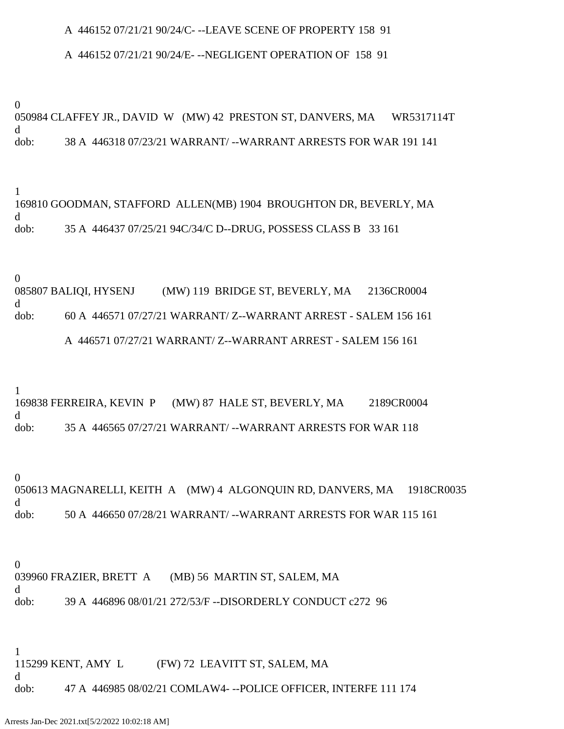#### A 446152 07/21/21 90/24/C- --LEAVE SCENE OF PROPERTY 158 91

#### A 446152 07/21/21 90/24/E- --NEGLIGENT OPERATION OF 158 91

0

050984 CLAFFEY JR., DAVID W (MW) 42 PRESTON ST, DANVERS, MA WR5317114T d dob: 38 A 446318 07/23/21 WARRANT/ --WARRANT ARRESTS FOR WAR 191 141

1 169810 GOODMAN, STAFFORD ALLEN(MB) 1904 BROUGHTON DR, BEVERLY, MA d dob: 35 A 446437 07/25/21 94C/34/C D--DRUG, POSSESS CLASS B 33 161

0

085807 BALIQI, HYSENJ (MW) 119 BRIDGE ST, BEVERLY, MA 2136CR0004 d dob: 60 A 446571 07/27/21 WARRANT/ Z--WARRANT ARREST - SALEM 156 161 A 446571 07/27/21 WARRANT/ Z--WARRANT ARREST - SALEM 156 161

1

169838 FERREIRA, KEVIN P (MW) 87 HALE ST, BEVERLY, MA 2189CR0004 d dob: 35 A 446565 07/27/21 WARRANT/ --WARRANT ARRESTS FOR WAR 118

0

050613 MAGNARELLI, KEITH A (MW) 4 ALGONQUIN RD, DANVERS, MA 1918CR0035 d dob: 50 A 446650 07/28/21 WARRANT/ --WARRANT ARRESTS FOR WAR 115 161

0 039960 FRAZIER, BRETT A (MB) 56 MARTIN ST, SALEM, MA d dob: 39 A 446896 08/01/21 272/53/F --DISORDERLY CONDUCT c272 96

1 115299 KENT, AMY L (FW) 72 LEAVITT ST, SALEM, MA d dob: 47 A 446985 08/02/21 COMLAW4- --POLICE OFFICER, INTERFE 111 174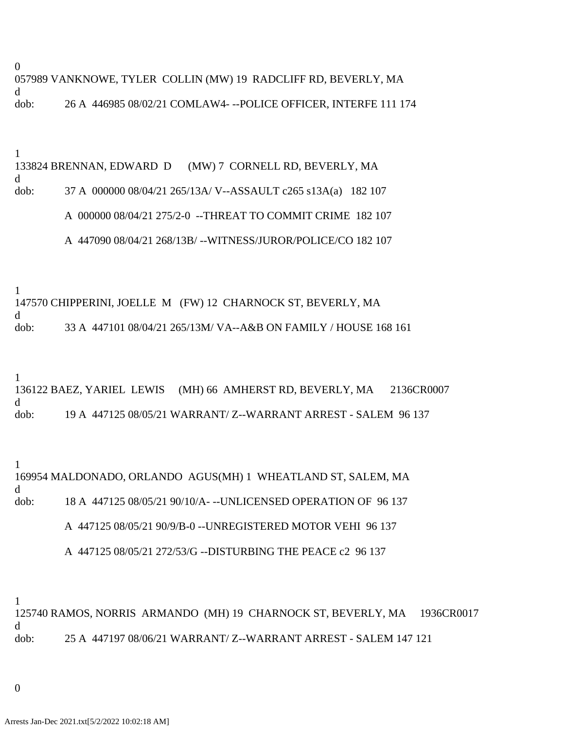0 057989 VANKNOWE, TYLER COLLIN (MW) 19 RADCLIFF RD, BEVERLY, MA d dob: 26 A 446985 08/02/21 COMLAW4- --POLICE OFFICER, INTERFE 111 174

1

133824 BRENNAN, EDWARD D (MW) 7 CORNELL RD, BEVERLY, MA d dob: 37 A 000000 08/04/21 265/13A/ V--ASSAULT c265 s13A(a) 182 107

A 000000 08/04/21 275/2-0 --THREAT TO COMMIT CRIME 182 107

A 447090 08/04/21 268/13B/ --WITNESS/JUROR/POLICE/CO 182 107

1

147570 CHIPPERINI, JOELLE M (FW) 12 CHARNOCK ST, BEVERLY, MA d

dob: 33 A 447101 08/04/21 265/13M/ VA--A&B ON FAMILY / HOUSE 168 161

1

136122 BAEZ, YARIEL LEWIS (MH) 66 AMHERST RD, BEVERLY, MA 2136CR0007 d dob: 19 A 447125 08/05/21 WARRANT/ Z--WARRANT ARREST - SALEM 96 137

1

169954 MALDONADO, ORLANDO AGUS(MH) 1 WHEATLAND ST, SALEM, MA d dob: 18 A 447125 08/05/21 90/10/A- --UNLICENSED OPERATION OF 96 137 A 447125 08/05/21 90/9/B-0 --UNREGISTERED MOTOR VEHI 96 137

A 447125 08/05/21 272/53/G --DISTURBING THE PEACE c2 96 137

1

125740 RAMOS, NORRIS ARMANDO (MH) 19 CHARNOCK ST, BEVERLY, MA 1936CR0017 d dob: 25 A 447197 08/06/21 WARRANT/ Z--WARRANT ARREST - SALEM 147 121

0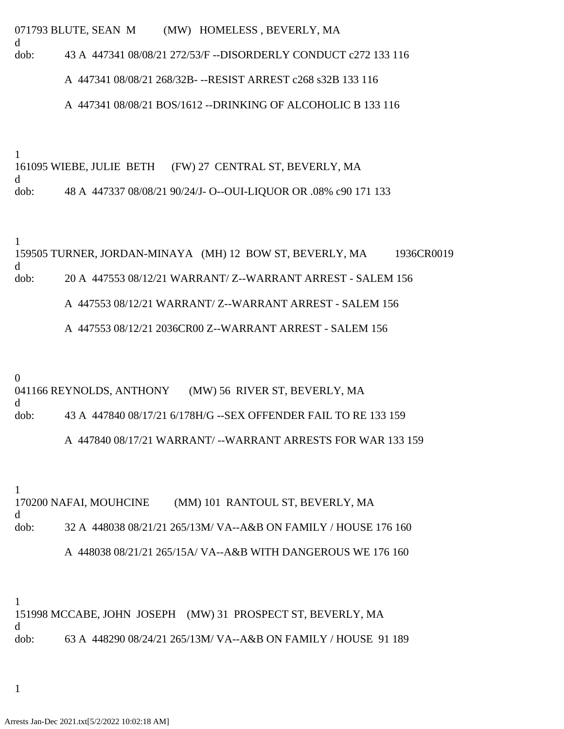071793 BLUTE, SEAN M (MW) HOMELESS , BEVERLY, MA

d dob: 43 A 447341 08/08/21 272/53/F --DISORDERLY CONDUCT c272 133 116

A 447341 08/08/21 268/32B- --RESIST ARREST c268 s32B 133 116

A 447341 08/08/21 BOS/1612 --DRINKING OF ALCOHOLIC B 133 116

1

161095 WIEBE, JULIE BETH (FW) 27 CENTRAL ST, BEVERLY, MA d dob: 48 A 447337 08/08/21 90/24/J- O--OUI-LIQUOR OR .08% c90 171 133

1

159505 TURNER, JORDAN-MINAYA (MH) 12 BOW ST, BEVERLY, MA 1936CR0019 d dob: 20 A 447553 08/12/21 WARRANT/ Z--WARRANT ARREST - SALEM 156 A 447553 08/12/21 WARRANT/ Z--WARRANT ARREST - SALEM 156

A 447553 08/12/21 2036CR00 Z--WARRANT ARREST - SALEM 156

0

d

041166 REYNOLDS, ANTHONY (MW) 56 RIVER ST, BEVERLY, MA

dob: 43 A 447840 08/17/21 6/178H/G --SEX OFFENDER FAIL TO RE 133 159

A 447840 08/17/21 WARRANT/ --WARRANT ARRESTS FOR WAR 133 159

1

170200 NAFAI, MOUHCINE (MM) 101 RANTOUL ST, BEVERLY, MA d dob: 32 A 448038 08/21/21 265/13M/ VA--A&B ON FAMILY / HOUSE 176 160 A 448038 08/21/21 265/15A/ VA--A&B WITH DANGEROUS WE 176 160

1 151998 MCCABE, JOHN JOSEPH (MW) 31 PROSPECT ST, BEVERLY, MA d dob: 63 A 448290 08/24/21 265/13M/ VA--A&B ON FAMILY / HOUSE 91 189

1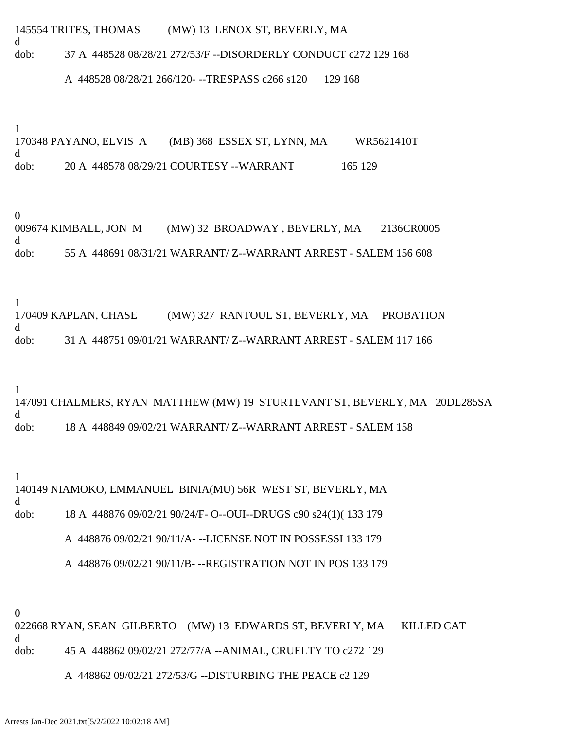145554 TRITES, THOMAS (MW) 13 LENOX ST, BEVERLY, MA

dob: 37 A 448528 08/28/21 272/53/F --DISORDERLY CONDUCT c272 129 168

A 448528 08/28/21 266/120- --TRESPASS c266 s120 129 168

1

d

170348 PAYANO, ELVIS A (MB) 368 ESSEX ST, LYNN, MA WR5621410T d dob: 20 A 448578 08/29/21 COURTESY --WARRANT 165 129

0

009674 KIMBALL, JON M (MW) 32 BROADWAY , BEVERLY, MA 2136CR0005 d dob: 55 A 448691 08/31/21 WARRANT/ Z--WARRANT ARREST - SALEM 156 608

1

170409 KAPLAN, CHASE (MW) 327 RANTOUL ST, BEVERLY, MA PROBATION d dob: 31 A 448751 09/01/21 WARRANT/ Z--WARRANT ARREST - SALEM 117 166

1

147091 CHALMERS, RYAN MATTHEW (MW) 19 STURTEVANT ST, BEVERLY, MA 20DL285SA d dob: 18 A 448849 09/02/21 WARRANT/ Z--WARRANT ARREST - SALEM 158

1 140149 NIAMOKO, EMMANUEL BINIA(MU) 56R WEST ST, BEVERLY, MA d dob: 18 A 448876 09/02/21 90/24/F- O--OUI--DRUGS c90 s24(1)( 133 179 A 448876 09/02/21 90/11/A- --LICENSE NOT IN POSSESSI 133 179

A 448876 09/02/21 90/11/B- --REGISTRATION NOT IN POS 133 179

0

022668 RYAN, SEAN GILBERTO (MW) 13 EDWARDS ST, BEVERLY, MA KILLED CAT d dob: 45 A 448862 09/02/21 272/77/A --ANIMAL, CRUELTY TO c272 129

A 448862 09/02/21 272/53/G --DISTURBING THE PEACE c2 129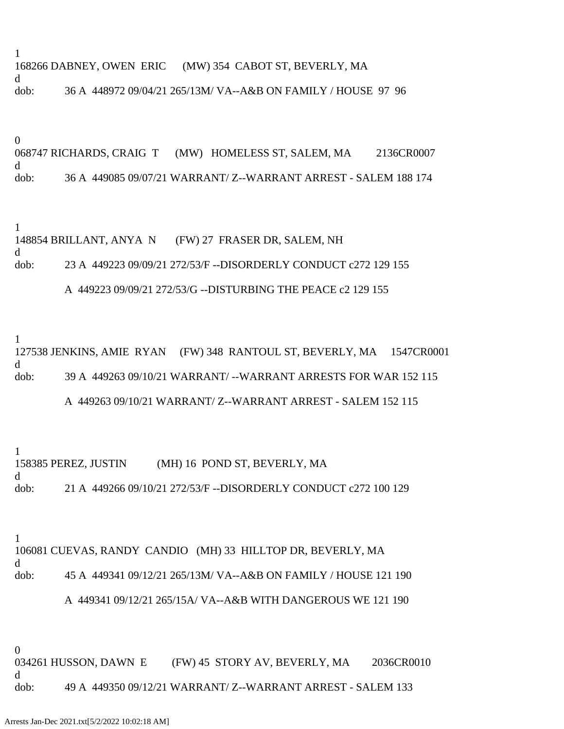1 168266 DABNEY, OWEN ERIC (MW) 354 CABOT ST, BEVERLY, MA d dob: 36 A 448972 09/04/21 265/13M/ VA--A&B ON FAMILY / HOUSE 97 96

0 068747 RICHARDS, CRAIG T (MW) HOMELESS ST, SALEM, MA 2136CR0007 d dob: 36 A 449085 09/07/21 WARRANT/ Z--WARRANT ARREST - SALEM 188 174

1 148854 BRILLANT, ANYA N (FW) 27 FRASER DR, SALEM, NH d dob: 23 A 449223 09/09/21 272/53/F --DISORDERLY CONDUCT c272 129 155

A 449223 09/09/21 272/53/G --DISTURBING THE PEACE c2 129 155

1

127538 JENKINS, AMIE RYAN (FW) 348 RANTOUL ST, BEVERLY, MA 1547CR0001 d dob: 39 A 449263 09/10/21 WARRANT/ --WARRANT ARRESTS FOR WAR 152 115

## A 449263 09/10/21 WARRANT/ Z--WARRANT ARREST - SALEM 152 115

1 158385 PEREZ, JUSTIN (MH) 16 POND ST, BEVERLY, MA d dob: 21 A 449266 09/10/21 272/53/F --DISORDERLY CONDUCT c272 100 129

1

106081 CUEVAS, RANDY CANDIO (MH) 33 HILLTOP DR, BEVERLY, MA d dob: 45 A 449341 09/12/21 265/13M/ VA--A&B ON FAMILY / HOUSE 121 190

## A 449341 09/12/21 265/15A/ VA--A&B WITH DANGEROUS WE 121 190

0

034261 HUSSON, DAWN E (FW) 45 STORY AV, BEVERLY, MA 2036CR0010 d dob: 49 A 449350 09/12/21 WARRANT/ Z--WARRANT ARREST - SALEM 133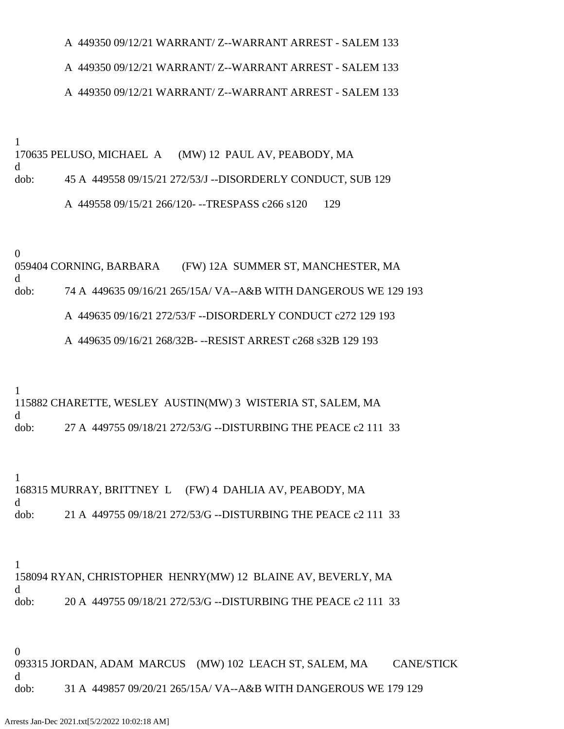A 449350 09/12/21 WARRANT/ Z--WARRANT ARREST - SALEM 133

## A 449350 09/12/21 WARRANT/ Z--WARRANT ARREST - SALEM 133

#### A 449350 09/12/21 WARRANT/ Z--WARRANT ARREST - SALEM 133

1

170635 PELUSO, MICHAEL A (MW) 12 PAUL AV, PEABODY, MA d dob: 45 A 449558 09/15/21 272/53/J --DISORDERLY CONDUCT, SUB 129 A 449558 09/15/21 266/120- --TRESPASS c266 s120 129

0

059404 CORNING, BARBARA (FW) 12A SUMMER ST, MANCHESTER, MA d dob: 74 A 449635 09/16/21 265/15A/ VA--A&B WITH DANGEROUS WE 129 193 A 449635 09/16/21 272/53/F --DISORDERLY CONDUCT c272 129 193

A 449635 09/16/21 268/32B- --RESIST ARREST c268 s32B 129 193

1

115882 CHARETTE, WESLEY AUSTIN(MW) 3 WISTERIA ST, SALEM, MA d dob: 27 A 449755 09/18/21 272/53/G --DISTURBING THE PEACE c2 111 33

1 168315 MURRAY, BRITTNEY L (FW) 4 DAHLIA AV, PEABODY, MA d dob: 21 A 449755 09/18/21 272/53/G --DISTURBING THE PEACE c2 111 33

1

158094 RYAN, CHRISTOPHER HENRY(MW) 12 BLAINE AV, BEVERLY, MA d dob: 20 A 449755 09/18/21 272/53/G --DISTURBING THE PEACE c2 111 33

0

093315 JORDAN, ADAM MARCUS (MW) 102 LEACH ST, SALEM, MA CANE/STICK d dob: 31 A 449857 09/20/21 265/15A/ VA--A&B WITH DANGEROUS WE 179 129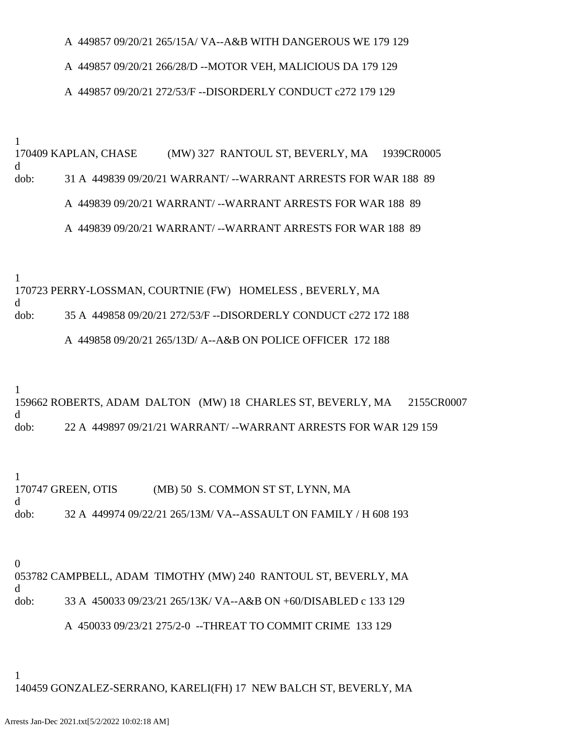A 449857 09/20/21 265/15A/ VA--A&B WITH DANGEROUS WE 179 129

#### A 449857 09/20/21 266/28/D --MOTOR VEH, MALICIOUS DA 179 129

#### A 449857 09/20/21 272/53/F --DISORDERLY CONDUCT c272 179 129

1

170409 KAPLAN, CHASE (MW) 327 RANTOUL ST, BEVERLY, MA 1939CR0005 d dob: 31 A 449839 09/20/21 WARRANT/ --WARRANT ARRESTS FOR WAR 188 89 A 449839 09/20/21 WARRANT/ --WARRANT ARRESTS FOR WAR 188 89 A 449839 09/20/21 WARRANT/ --WARRANT ARRESTS FOR WAR 188 89

1

170723 PERRY-LOSSMAN, COURTNIE (FW) HOMELESS , BEVERLY, MA d dob: 35 A 449858 09/20/21 272/53/F --DISORDERLY CONDUCT c272 172 188 A 449858 09/20/21 265/13D/ A--A&B ON POLICE OFFICER 172 188

1

159662 ROBERTS, ADAM DALTON (MW) 18 CHARLES ST, BEVERLY, MA 2155CR0007 d dob: 22 A 449897 09/21/21 WARRANT/ --WARRANT ARRESTS FOR WAR 129 159

1 170747 GREEN, OTIS (MB) 50 S. COMMON ST ST, LYNN, MA d dob: 32 A 449974 09/22/21 265/13M/ VA--ASSAULT ON FAMILY / H 608 193

0

053782 CAMPBELL, ADAM TIMOTHY (MW) 240 RANTOUL ST, BEVERLY, MA d dob: 33 A 450033 09/23/21 265/13K/ VA--A&B ON +60/DISABLED c 133 129

A 450033 09/23/21 275/2-0 --THREAT TO COMMIT CRIME 133 129

1

140459 GONZALEZ-SERRANO, KARELI(FH) 17 NEW BALCH ST, BEVERLY, MA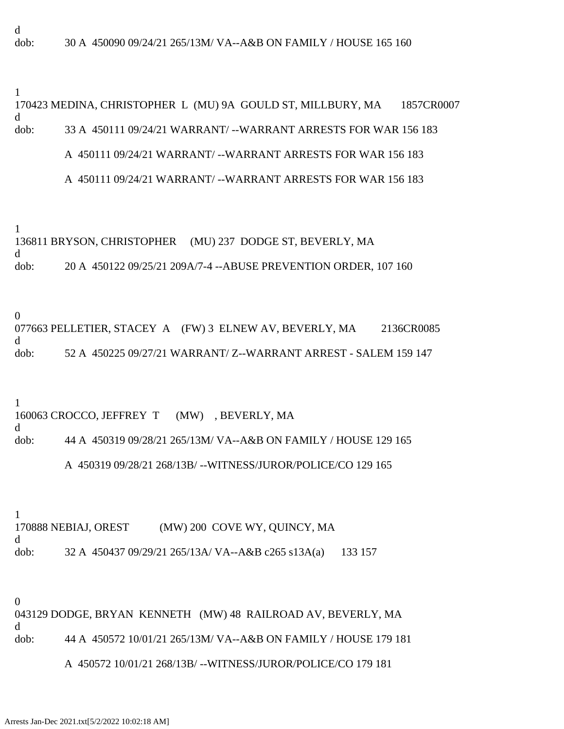1

170423 MEDINA, CHRISTOPHER L (MU) 9A GOULD ST, MILLBURY, MA 1857CR0007 d dob: 33 A 450111 09/24/21 WARRANT/ --WARRANT ARRESTS FOR WAR 156 183 A 450111 09/24/21 WARRANT/ --WARRANT ARRESTS FOR WAR 156 183

# A 450111 09/24/21 WARRANT/ --WARRANT ARRESTS FOR WAR 156 183

1

136811 BRYSON, CHRISTOPHER (MU) 237 DODGE ST, BEVERLY, MA d dob: 20 A 450122 09/25/21 209A/7-4 --ABUSE PREVENTION ORDER, 107 160

0

077663 PELLETIER, STACEY A (FW) 3 ELNEW AV, BEVERLY, MA 2136CR0085 d dob: 52 A 450225 09/27/21 WARRANT/ Z--WARRANT ARREST - SALEM 159 147

1

160063 CROCCO, JEFFREY T (MW) , BEVERLY, MA d dob: 44 A 450319 09/28/21 265/13M/ VA--A&B ON FAMILY / HOUSE 129 165

## A 450319 09/28/21 268/13B/ --WITNESS/JUROR/POLICE/CO 129 165

1 170888 NEBIAJ, OREST (MW) 200 COVE WY, QUINCY, MA d dob: 32 A 450437 09/29/21 265/13A/ VA--A&B c265 s13A(a) 133 157

0 043129 DODGE, BRYAN KENNETH (MW) 48 RAILROAD AV, BEVERLY, MA d dob: 44 A 450572 10/01/21 265/13M/ VA--A&B ON FAMILY / HOUSE 179 181

## A 450572 10/01/21 268/13B/ --WITNESS/JUROR/POLICE/CO 179 181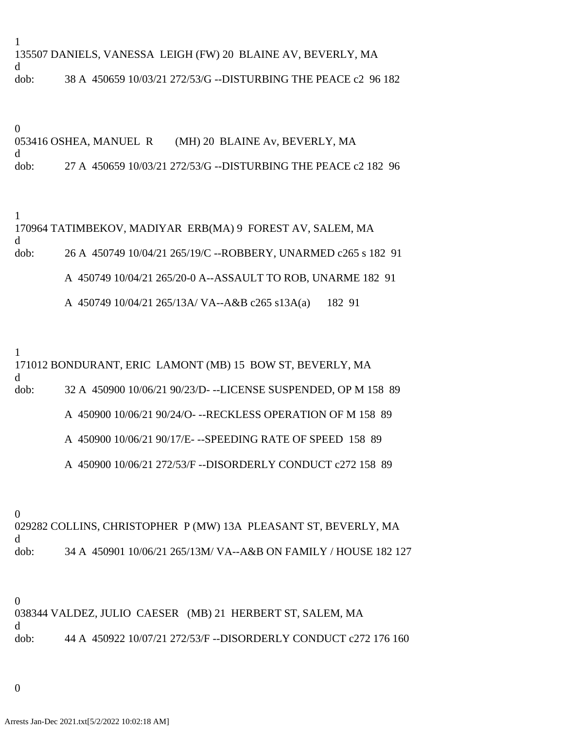1 135507 DANIELS, VANESSA LEIGH (FW) 20 BLAINE AV, BEVERLY, MA d dob: 38 A 450659 10/03/21 272/53/G --DISTURBING THE PEACE c2 96 182

0 053416 OSHEA, MANUEL R (MH) 20 BLAINE Av, BEVERLY, MA d dob: 27 A 450659 10/03/21 272/53/G --DISTURBING THE PEACE c2 182 96

1 170964 TATIMBEKOV, MADIYAR ERB(MA) 9 FOREST AV, SALEM, MA d dob: 26 A 450749 10/04/21 265/19/C --ROBBERY, UNARMED c265 s 182 91 A 450749 10/04/21 265/20-0 A--ASSAULT TO ROB, UNARME 182 91 A 450749 10/04/21 265/13A/ VA--A&B c265 s13A(a) 182 91

1

171012 BONDURANT, ERIC LAMONT (MB) 15 BOW ST, BEVERLY, MA d dob: 32 A 450900 10/06/21 90/23/D- --LICENSE SUSPENDED, OP M 158 89 A 450900 10/06/21 90/24/O- --RECKLESS OPERATION OF M 158 89 A 450900 10/06/21 90/17/E- --SPEEDING RATE OF SPEED 158 89

A 450900 10/06/21 272/53/F --DISORDERLY CONDUCT c272 158 89

0

029282 COLLINS, CHRISTOPHER P (MW) 13A PLEASANT ST, BEVERLY, MA d dob: 34 A 450901 10/06/21 265/13M/ VA--A&B ON FAMILY / HOUSE 182 127

0 038344 VALDEZ, JULIO CAESER (MB) 21 HERBERT ST, SALEM, MA d dob: 44 A 450922 10/07/21 272/53/F --DISORDERLY CONDUCT c272 176 160

0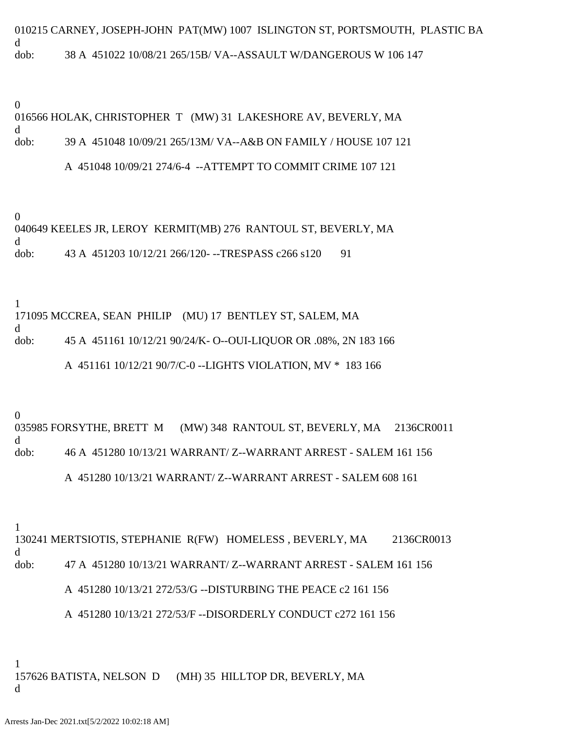010215 CARNEY, JOSEPH-JOHN PAT(MW) 1007 ISLINGTON ST, PORTSMOUTH, PLASTIC BA d dob: 38 A 451022 10/08/21 265/15B/ VA--ASSAULT W/DANGEROUS W 106 147

0

016566 HOLAK, CHRISTOPHER T (MW) 31 LAKESHORE AV, BEVERLY, MA d dob: 39 A 451048 10/09/21 265/13M/ VA--A&B ON FAMILY / HOUSE 107 121

A 451048 10/09/21 274/6-4 --ATTEMPT TO COMMIT CRIME 107 121

0 040649 KEELES JR, LEROY KERMIT(MB) 276 RANTOUL ST, BEVERLY, MA d dob: 43 A 451203 10/12/21 266/120---TRESPASS c266 s120 91

1 171095 MCCREA, SEAN PHILIP (MU) 17 BENTLEY ST, SALEM, MA d dob: 45 A 451161 10/12/21 90/24/K- O--OUI-LIQUOR OR .08%, 2N 183 166 A 451161 10/12/21 90/7/C-0 --LIGHTS VIOLATION, MV \* 183 166

0

035985 FORSYTHE, BRETT M (MW) 348 RANTOUL ST, BEVERLY, MA 2136CR0011 d dob: 46 A 451280 10/13/21 WARRANT/ Z--WARRANT ARREST - SALEM 161 156 A 451280 10/13/21 WARRANT/ Z--WARRANT ARREST - SALEM 608 161

1

130241 MERTSIOTIS, STEPHANIE R(FW) HOMELESS , BEVERLY, MA 2136CR0013 d dob: 47 A 451280 10/13/21 WARRANT/ Z--WARRANT ARREST - SALEM 161 156

A 451280 10/13/21 272/53/G --DISTURBING THE PEACE c2 161 156

A 451280 10/13/21 272/53/F --DISORDERLY CONDUCT c272 161 156

1 157626 BATISTA, NELSON D (MH) 35 HILLTOP DR, BEVERLY, MA d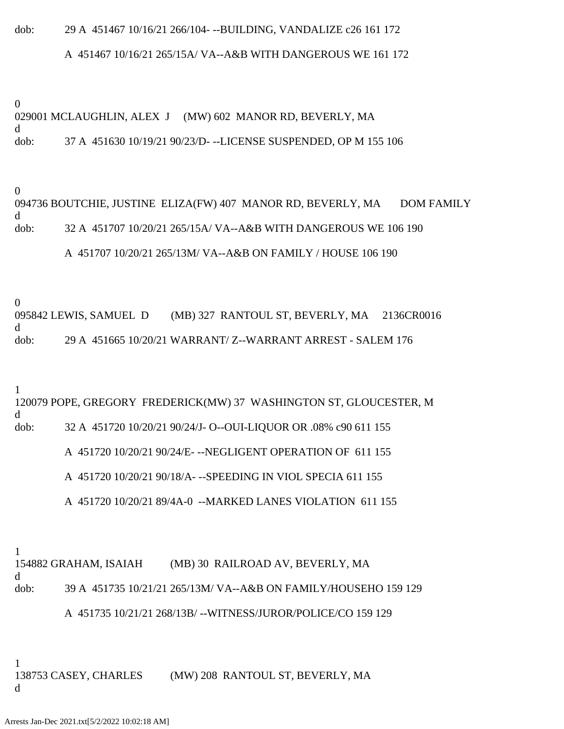# dob: 29 A 451467 10/16/21 266/104- --BUILDING, VANDALIZE c26 161 172

### A 451467 10/16/21 265/15A/ VA--A&B WITH DANGEROUS WE 161 172

0

029001 MCLAUGHLIN, ALEX J (MW) 602 MANOR RD, BEVERLY, MA d dob: 37 A 451630 10/19/21 90/23/D- --LICENSE SUSPENDED, OP M 155 106

0

094736 BOUTCHIE, JUSTINE ELIZA(FW) 407 MANOR RD, BEVERLY, MA DOM FAMILY d dob: 32 A 451707 10/20/21 265/15A/ VA--A&B WITH DANGEROUS WE 106 190 A 451707 10/20/21 265/13M/ VA--A&B ON FAMILY / HOUSE 106 190

0

095842 LEWIS, SAMUEL D (MB) 327 RANTOUL ST, BEVERLY, MA 2136CR0016 d dob: 29 A 451665 10/20/21 WARRANT/ Z--WARRANT ARREST - SALEM 176

1

120079 POPE, GREGORY FREDERICK(MW) 37 WASHINGTON ST, GLOUCESTER, M d dob: 32 A 451720 10/20/21 90/24/J- O--OUI-LIQUOR OR .08% c90 611 155

A 451720 10/20/21 90/24/E- --NEGLIGENT OPERATION OF 611 155

A 451720 10/20/21 90/18/A- --SPEEDING IN VIOL SPECIA 611 155

A 451720 10/20/21 89/4A-0 --MARKED LANES VIOLATION 611 155

1

154882 GRAHAM, ISAIAH (MB) 30 RAILROAD AV, BEVERLY, MA d dob: 39 A 451735 10/21/21 265/13M/ VA--A&B ON FAMILY/HOUSEHO 159 129

A 451735 10/21/21 268/13B/ --WITNESS/JUROR/POLICE/CO 159 129

1 138753 CASEY, CHARLES (MW) 208 RANTOUL ST, BEVERLY, MA d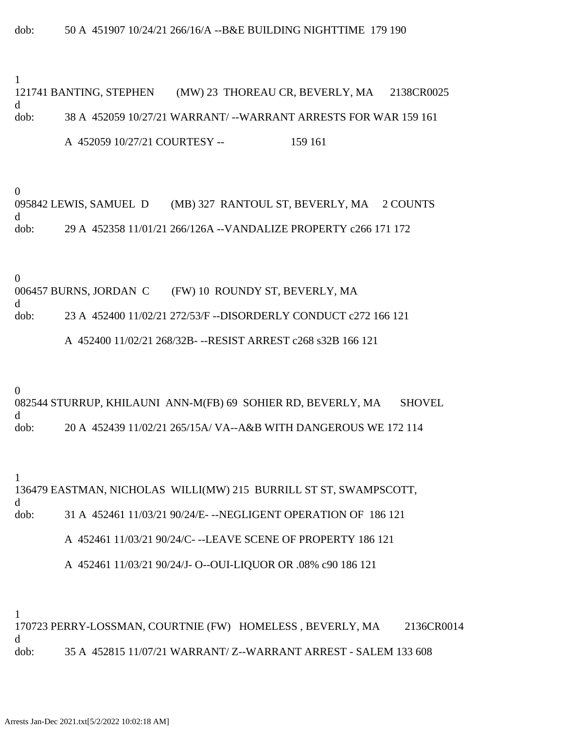1

121741 BANTING, STEPHEN (MW) 23 THOREAU CR, BEVERLY, MA 2138CR0025 d dob: 38 A 452059 10/27/21 WARRANT/ --WARRANT ARRESTS FOR WAR 159 161

A 452059 10/27/21 COURTESY -- 159 161

0

095842 LEWIS, SAMUEL D (MB) 327 RANTOUL ST, BEVERLY, MA 2 COUNTS d dob: 29 A 452358 11/01/21 266/126A --VANDALIZE PROPERTY c266 171 172

0

006457 BURNS, JORDAN C (FW) 10 ROUNDY ST, BEVERLY, MA d dob: 23 A 452400 11/02/21 272/53/F --DISORDERLY CONDUCT c272 166 121

A 452400 11/02/21 268/32B- --RESIST ARREST c268 s32B 166 121

0

082544 STURRUP, KHILAUNI ANN-M(FB) 69 SOHIER RD, BEVERLY, MA SHOVEL d dob: 20 A 452439 11/02/21 265/15A/ VA--A&B WITH DANGEROUS WE 172 114

1 136479 EASTMAN, NICHOLAS WILLI(MW) 215 BURRILL ST ST, SWAMPSCOTT, d dob: 31 A 452461 11/03/21 90/24/E- --NEGLIGENT OPERATION OF 186 121 A 452461 11/03/21 90/24/C- --LEAVE SCENE OF PROPERTY 186 121

A 452461 11/03/21 90/24/J- O--OUI-LIQUOR OR .08% c90 186 121

1

170723 PERRY-LOSSMAN, COURTNIE (FW) HOMELESS , BEVERLY, MA 2136CR0014 d dob: 35 A 452815 11/07/21 WARRANT/ Z--WARRANT ARREST - SALEM 133 608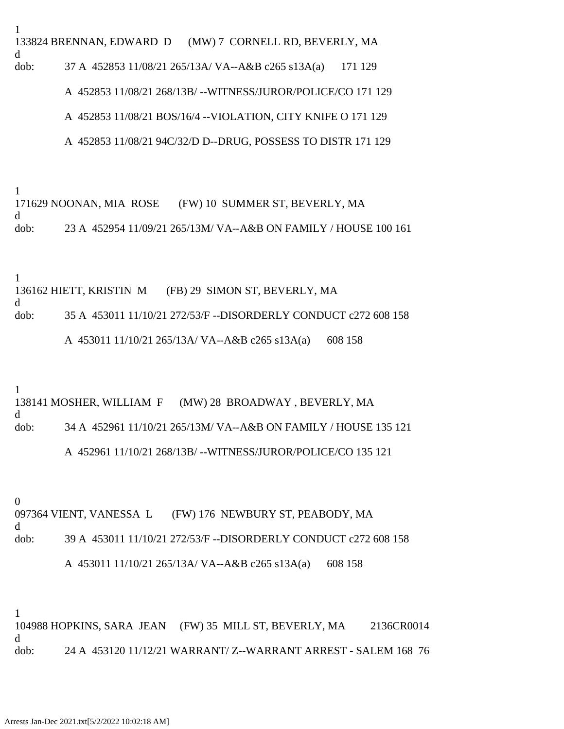1 133824 BRENNAN, EDWARD D (MW) 7 CORNELL RD, BEVERLY, MA d dob: 37 A 452853 11/08/21 265/13A/ VA--A&B c265 s13A(a) 171 129

A 452853 11/08/21 268/13B/ --WITNESS/JUROR/POLICE/CO 171 129

A 452853 11/08/21 BOS/16/4 --VIOLATION, CITY KNIFE O 171 129

A 452853 11/08/21 94C/32/D D--DRUG, POSSESS TO DISTR 171 129

1

171629 NOONAN, MIA ROSE (FW) 10 SUMMER ST, BEVERLY, MA d dob: 23 A 452954 11/09/21 265/13M/ VA--A&B ON FAMILY / HOUSE 100 161

1

136162 HIETT, KRISTIN M (FB) 29 SIMON ST, BEVERLY, MA d dob: 35 A 453011 11/10/21 272/53/F --DISORDERLY CONDUCT c272 608 158

A 453011 11/10/21 265/13A/ VA--A&B c265 s13A(a) 608 158

1

138141 MOSHER, WILLIAM F (MW) 28 BROADWAY , BEVERLY, MA d dob: 34 A 452961 11/10/21 265/13M/ VA--A&B ON FAMILY / HOUSE 135 121 A 452961 11/10/21 268/13B/ --WITNESS/JUROR/POLICE/CO 135 121

0

097364 VIENT, VANESSA L (FW) 176 NEWBURY ST, PEABODY, MA d dob: 39 A 453011 11/10/21 272/53/F --DISORDERLY CONDUCT c272 608 158

A 453011 11/10/21 265/13A/ VA--A&B c265 s13A(a) 608 158

1

104988 HOPKINS, SARA JEAN (FW) 35 MILL ST, BEVERLY, MA 2136CR0014 d dob: 24 A 453120 11/12/21 WARRANT/ Z--WARRANT ARREST - SALEM 168 76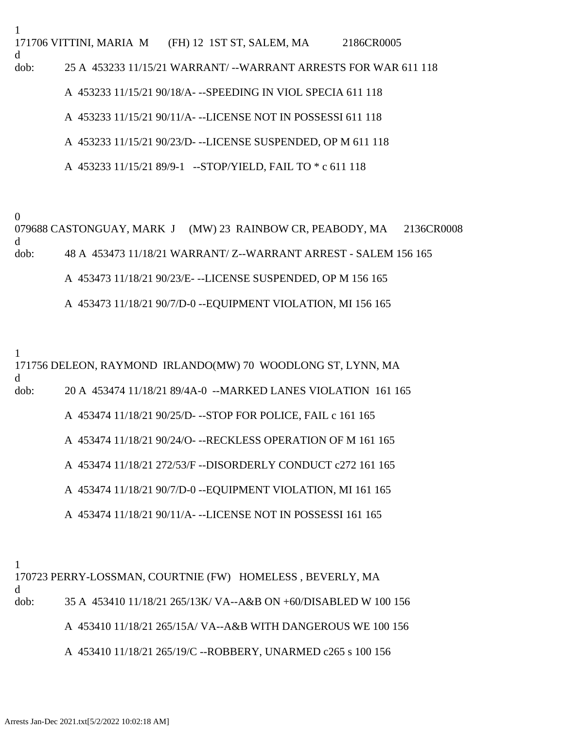1 171706 VITTINI, MARIA M (FH) 12 1ST ST, SALEM, MA 2186CR0005 d dob: 25 A 453233 11/15/21 WARRANT/ --WARRANT ARRESTS FOR WAR 611 118 A 453233 11/15/21 90/18/A- --SPEEDING IN VIOL SPECIA 611 118

A 453233 11/15/21 90/11/A- --LICENSE NOT IN POSSESSI 611 118

A 453233 11/15/21 90/23/D- --LICENSE SUSPENDED, OP M 611 118

A 453233 11/15/21 89/9-1 --STOP/YIELD, FAIL TO \* c 611 118

0

079688 CASTONGUAY, MARK J (MW) 23 RAINBOW CR, PEABODY, MA 2136CR0008 d dob: 48 A 453473 11/18/21 WARRANT/ Z--WARRANT ARREST - SALEM 156 165 A 453473 11/18/21 90/23/E- --LICENSE SUSPENDED, OP M 156 165

A 453473 11/18/21 90/7/D-0 --EQUIPMENT VIOLATION, MI 156 165

1

171756 DELEON, RAYMOND IRLANDO(MW) 70 WOODLONG ST, LYNN, MA d dob: 20 A 453474 11/18/21 89/4A-0 --MARKED LANES VIOLATION 161 165 A 453474 11/18/21 90/25/D- --STOP FOR POLICE, FAIL c 161 165 A 453474 11/18/21 90/24/O- --RECKLESS OPERATION OF M 161 165 A 453474 11/18/21 272/53/F --DISORDERLY CONDUCT c272 161 165 A 453474 11/18/21 90/7/D-0 --EQUIPMENT VIOLATION, MI 161 165 A 453474 11/18/21 90/11/A- --LICENSE NOT IN POSSESSI 161 165

1

170723 PERRY-LOSSMAN, COURTNIE (FW) HOMELESS , BEVERLY, MA d dob: 35 A 453410 11/18/21 265/13K/ VA--A&B ON +60/DISABLED W 100 156 A 453410 11/18/21 265/15A/ VA--A&B WITH DANGEROUS WE 100 156 A 453410 11/18/21 265/19/C --ROBBERY, UNARMED c265 s 100 156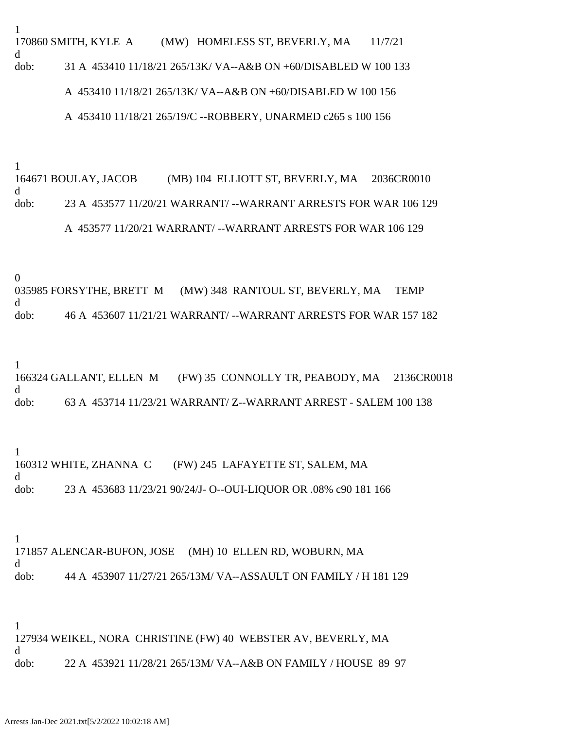1 170860 SMITH, KYLE A (MW) HOMELESS ST, BEVERLY, MA 11/7/21 d dob: 31 A 453410 11/18/21 265/13K/ VA--A&B ON +60/DISABLED W 100 133 A 453410 11/18/21 265/13K/ VA--A&B ON +60/DISABLED W 100 156

A 453410 11/18/21 265/19/C --ROBBERY, UNARMED c265 s 100 156

1

164671 BOULAY, JACOB (MB) 104 ELLIOTT ST, BEVERLY, MA 2036CR0010 d dob: 23 A 453577 11/20/21 WARRANT/ --WARRANT ARRESTS FOR WAR 106 129 A 453577 11/20/21 WARRANT/ --WARRANT ARRESTS FOR WAR 106 129

0

035985 FORSYTHE, BRETT M (MW) 348 RANTOUL ST, BEVERLY, MA TEMP d dob: 46 A 453607 11/21/21 WARRANT/ --WARRANT ARRESTS FOR WAR 157 182

1

166324 GALLANT, ELLEN M (FW) 35 CONNOLLY TR, PEABODY, MA 2136CR0018 d dob: 63 A 453714 11/23/21 WARRANT/ Z--WARRANT ARREST - SALEM 100 138

1 160312 WHITE, ZHANNA C (FW) 245 LAFAYETTE ST, SALEM, MA d dob: 23 A 453683 11/23/21 90/24/J- O--OUI-LIQUOR OR .08% c90 181 166

1 171857 ALENCAR-BUFON, JOSE (MH) 10 ELLEN RD, WOBURN, MA d dob: 44 A 453907 11/27/21 265/13M/ VA--ASSAULT ON FAMILY / H 181 129

1 127934 WEIKEL, NORA CHRISTINE (FW) 40 WEBSTER AV, BEVERLY, MA d dob: 22 A 453921 11/28/21 265/13M/ VA--A&B ON FAMILY / HOUSE 89 97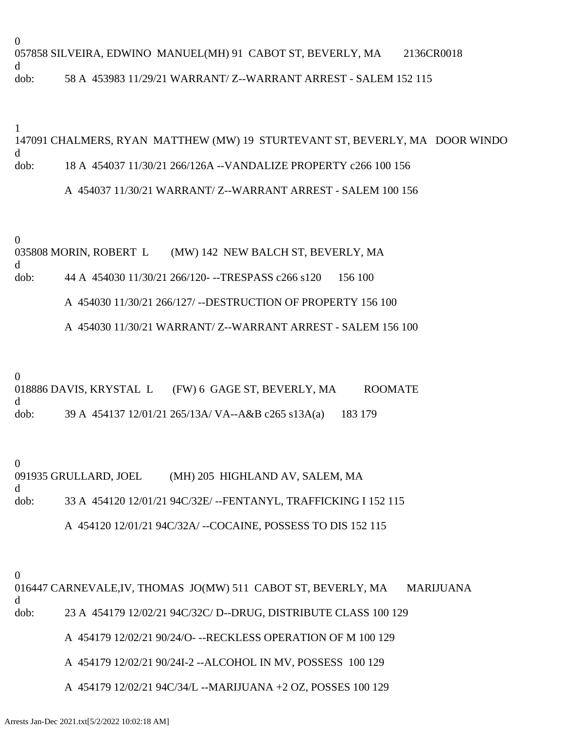0 057858 SILVEIRA, EDWINO MANUEL(MH) 91 CABOT ST, BEVERLY, MA 2136CR0018 d dob: 58 A 453983 11/29/21 WARRANT/ Z--WARRANT ARREST - SALEM 152 115

1

# 147091 CHALMERS, RYAN MATTHEW (MW) 19 STURTEVANT ST, BEVERLY, MA DOOR WINDO d dob: 18 A 454037 11/30/21 266/126A --VANDALIZE PROPERTY c266 100 156

# A 454037 11/30/21 WARRANT/ Z--WARRANT ARREST - SALEM 100 156

0

035808 MORIN, ROBERT L (MW) 142 NEW BALCH ST, BEVERLY, MA d dob: 44 A 454030 11/30/21 266/120- --TRESPASS c266 s120 156 100

A 454030 11/30/21 266/127/ --DESTRUCTION OF PROPERTY 156 100

A 454030 11/30/21 WARRANT/ Z--WARRANT ARREST - SALEM 156 100

0 018886 DAVIS, KRYSTAL L (FW) 6 GAGE ST, BEVERLY, MA ROOMATE d dob: 39 A 454137 12/01/21 265/13A/ VA--A&B c265 s13A(a) 183 179

0 091935 GRULLARD, JOEL (MH) 205 HIGHLAND AV, SALEM, MA d dob: 33 A 454120 12/01/21 94C/32E/ --FENTANYL, TRAFFICKING I 152 115

# A 454120 12/01/21 94C/32A/ --COCAINE, POSSESS TO DIS 152 115

0

016447 CARNEVALE,IV, THOMAS JO(MW) 511 CABOT ST, BEVERLY, MA MARIJUANA d dob: 23 A 454179 12/02/21 94C/32C/ D--DRUG, DISTRIBUTE CLASS 100 129

A 454179 12/02/21 90/24/O- --RECKLESS OPERATION OF M 100 129

A 454179 12/02/21 90/24I-2 --ALCOHOL IN MV, POSSESS 100 129

A 454179 12/02/21 94C/34/L --MARIJUANA +2 OZ, POSSES 100 129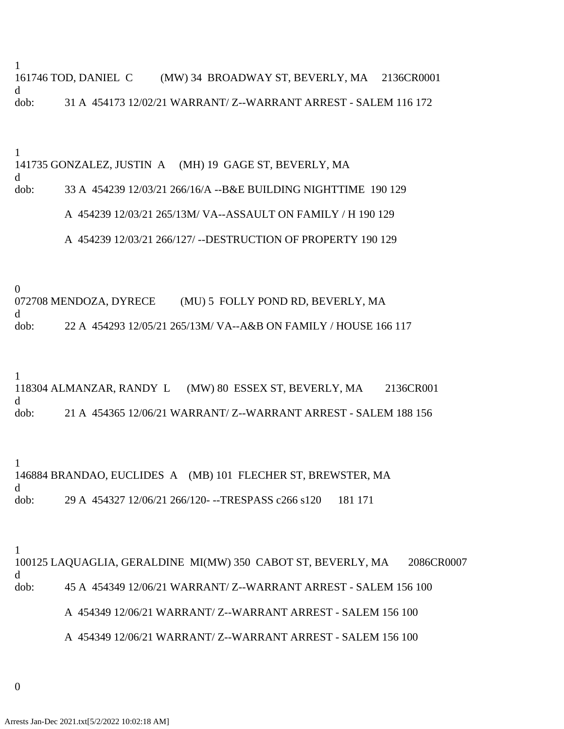1

161746 TOD, DANIEL C (MW) 34 BROADWAY ST, BEVERLY, MA 2136CR0001 d dob: 31 A 454173 12/02/21 WARRANT/ Z--WARRANT ARREST - SALEM 116 172

1

141735 GONZALEZ, JUSTIN A (MH) 19 GAGE ST, BEVERLY, MA d

dob: 33 A 454239 12/03/21 266/16/A --B&E BUILDING NIGHTTIME 190 129

## A 454239 12/03/21 265/13M/ VA--ASSAULT ON FAMILY / H 190 129

## A 454239 12/03/21 266/127/ --DESTRUCTION OF PROPERTY 190 129

0

072708 MENDOZA, DYRECE (MU) 5 FOLLY POND RD, BEVERLY, MA d

dob: 22 A 454293 12/05/21 265/13M/ VA--A&B ON FAMILY / HOUSE 166 117

1

118304 ALMANZAR, RANDY L (MW) 80 ESSEX ST, BEVERLY, MA 2136CR001 d dob: 21 A 454365 12/06/21 WARRANT/ Z--WARRANT ARREST - SALEM 188 156

1 146884 BRANDAO, EUCLIDES A (MB) 101 FLECHER ST, BREWSTER, MA d dob: 29 A 454327 12/06/21 266/120- --TRESPASS c266 s120 181 171

1

100125 LAQUAGLIA, GERALDINE MI(MW) 350 CABOT ST, BEVERLY, MA 2086CR0007 d dob: 45 A 454349 12/06/21 WARRANT/ Z--WARRANT ARREST - SALEM 156 100 A 454349 12/06/21 WARRANT/ Z--WARRANT ARREST - SALEM 156 100 A 454349 12/06/21 WARRANT/ Z--WARRANT ARREST - SALEM 156 100

0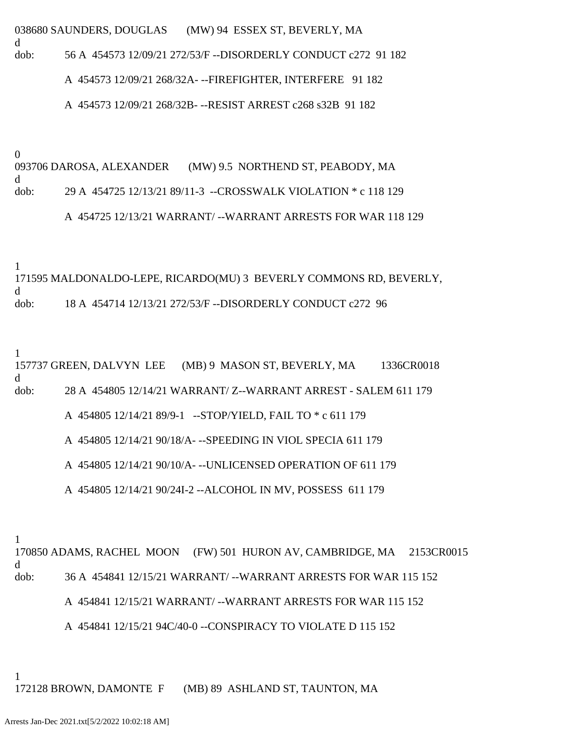038680 SAUNDERS, DOUGLAS (MW) 94 ESSEX ST, BEVERLY, MA d dob: 56 A 454573 12/09/21 272/53/F --DISORDERLY CONDUCT c272 91 182

A 454573 12/09/21 268/32A- --FIREFIGHTER, INTERFERE 91 182

A 454573 12/09/21 268/32B- --RESIST ARREST c268 s32B 91 182

0

093706 DAROSA, ALEXANDER (MW) 9.5 NORTHEND ST, PEABODY, MA d dob: 29 A 454725 12/13/21 89/11-3 --CROSSWALK VIOLATION \* c 118 129

A 454725 12/13/21 WARRANT/ --WARRANT ARRESTS FOR WAR 118 129

1

171595 MALDONALDO-LEPE, RICARDO(MU) 3 BEVERLY COMMONS RD, BEVERLY, d dob: 18 A 454714 12/13/21 272/53/F --DISORDERLY CONDUCT c272 96

1

157737 GREEN, DALVYN LEE (MB) 9 MASON ST, BEVERLY, MA 1336CR0018 d dob: 28 A 454805 12/14/21 WARRANT/ Z--WARRANT ARREST - SALEM 611 179 A 454805 12/14/21 89/9-1 --STOP/YIELD, FAIL TO \* c 611 179 A 454805 12/14/21 90/18/A- --SPEEDING IN VIOL SPECIA 611 179 A 454805 12/14/21 90/10/A- --UNLICENSED OPERATION OF 611 179

A 454805 12/14/21 90/24I-2 --ALCOHOL IN MV, POSSESS 611 179

1

170850 ADAMS, RACHEL MOON (FW) 501 HURON AV, CAMBRIDGE, MA 2153CR0015 d dob: 36 A 454841 12/15/21 WARRANT/ --WARRANT ARRESTS FOR WAR 115 152 A 454841 12/15/21 WARRANT/ --WARRANT ARRESTS FOR WAR 115 152

A 454841 12/15/21 94C/40-0 --CONSPIRACY TO VIOLATE D 115 152

1

172128 BROWN, DAMONTE F (MB) 89 ASHLAND ST, TAUNTON, MA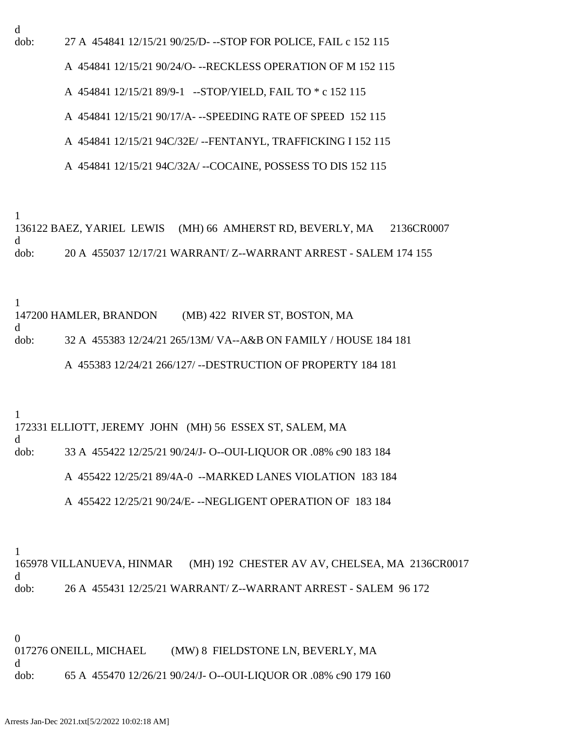d

dob: 27 A 454841 12/15/21 90/25/D- --STOP FOR POLICE, FAIL c 152 115

A 454841 12/15/21 90/24/O- --RECKLESS OPERATION OF M 152 115

A 454841 12/15/21 89/9-1 --STOP/YIELD, FAIL TO \* c 152 115

A 454841 12/15/21 90/17/A- --SPEEDING RATE OF SPEED 152 115

A 454841 12/15/21 94C/32E/ --FENTANYL, TRAFFICKING I 152 115

A 454841 12/15/21 94C/32A/ --COCAINE, POSSESS TO DIS 152 115

1

136122 BAEZ, YARIEL LEWIS (MH) 66 AMHERST RD, BEVERLY, MA 2136CR0007 d dob: 20 A 455037 12/17/21 WARRANT/ Z--WARRANT ARREST - SALEM 174 155

1

d

147200 HAMLER, BRANDON (MB) 422 RIVER ST, BOSTON, MA

dob: 32 A 455383 12/24/21 265/13M/ VA--A&B ON FAMILY / HOUSE 184 181

A 455383 12/24/21 266/127/ --DESTRUCTION OF PROPERTY 184 181

1

172331 ELLIOTT, JEREMY JOHN (MH) 56 ESSEX ST, SALEM, MA

d

dob: 33 A 455422 12/25/21 90/24/J- O--OUI-LIQUOR OR .08% c90 183 184

A 455422 12/25/21 89/4A-0 --MARKED LANES VIOLATION 183 184

A 455422 12/25/21 90/24/E- --NEGLIGENT OPERATION OF 183 184

1

165978 VILLANUEVA, HINMAR (MH) 192 CHESTER AV AV, CHELSEA, MA 2136CR0017 d dob: 26 A 455431 12/25/21 WARRANT/ Z--WARRANT ARREST - SALEM 96 172

0 017276 ONEILL, MICHAEL (MW) 8 FIELDSTONE LN, BEVERLY, MA d dob: 65 A 455470 12/26/21 90/24/J- O--OUI-LIQUOR OR .08% c90 179 160